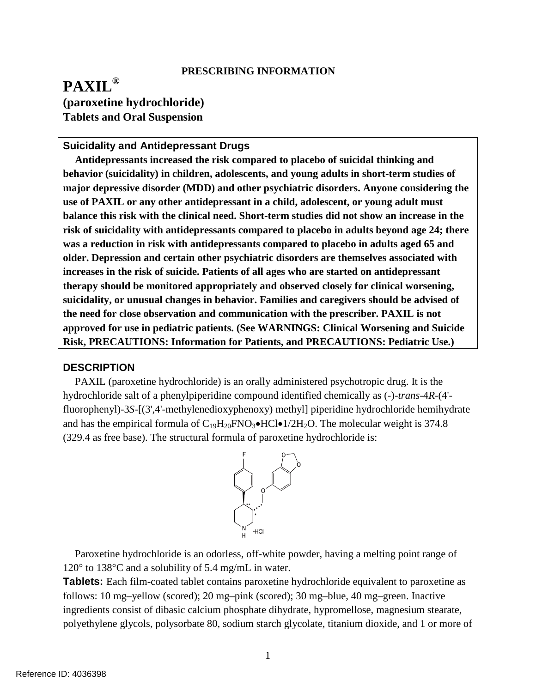#### **PRESCRIBING INFORMATION**

# **PAXIL® (paroxetine hydrochloride) Tablets and Oral Suspension**

# **Suicidality and Antidepressant Drugs**

**Antidepressants increased the risk compared to placebo of suicidal thinking and behavior (suicidality) in children, adolescents, and young adults in short-term studies of major depressive disorder (MDD) and other psychiatric disorders. Anyone considering the use of PAXIL or any other antidepressant in a child, adolescent, or young adult must balance this risk with the clinical need. Short-term studies did not show an increase in the risk of suicidality with antidepressants compared to placebo in adults beyond age 24; there was a reduction in risk with antidepressants compared to placebo in adults aged 65 and older. Depression and certain other psychiatric disorders are themselves associated with increases in the risk of suicide. Patients of all ages who are started on antidepressant therapy should be monitored appropriately and observed closely for clinical worsening, suicidality, or unusual changes in behavior. Families and caregivers should be advised of the need for close observation and communication with the prescriber. PAXIL is not approved for use in pediatric patients. (See WARNINGS: Clinical Worsening and Suicide Risk, PRECAUTIONS: Information for Patients, and PRECAUTIONS: Pediatric Use.)** 

#### **DESCRIPTION**

PAXIL (paroxetine hydrochloride) is an orally administered psychotropic drug. It is the hydrochloride salt of a phenylpiperidine compound identified chemically as (-)-*trans*-4*R*-(4' fluorophenyl)-3*S*-[(3',4'-methylenedioxyphenoxy) methyl] piperidine hydrochloride hemihydrate and has the empirical formula of  $C_{19}H_{20}FNO_3\bullet HCl\bullet 1/2H_2O$ . The molecular weight is 374.8 (329.4 as free base). The structural formula of paroxetine hydrochloride is:



Paroxetine hydrochloride is an odorless, off-white powder, having a melting point range of 120° to 138°C and a solubility of 5.4 mg/mL in water.

 follows: 10 mg–yellow (scored); 20 mg–pink (scored); 30 mg–blue, 40 mg–green. Inactive **Tablets:** Each film-coated tablet contains paroxetine hydrochloride equivalent to paroxetine as ingredients consist of dibasic calcium phosphate dihydrate, hypromellose, magnesium stearate, polyethylene glycols, polysorbate 80, sodium starch glycolate, titanium dioxide, and 1 or more of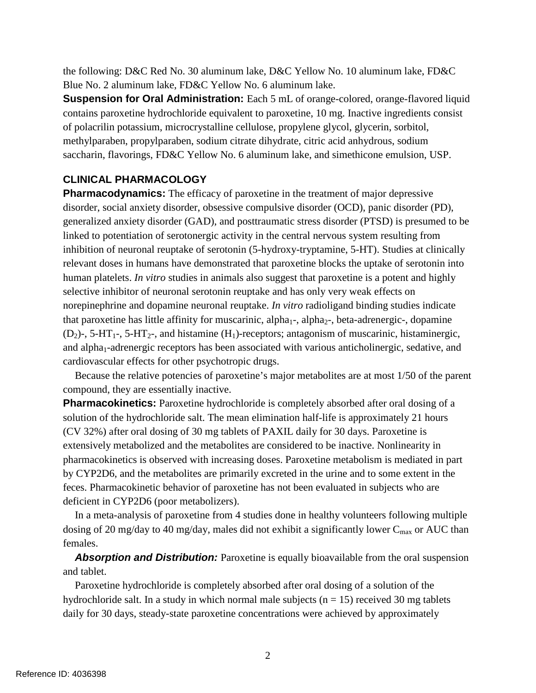the following: D&C Red No. 30 aluminum lake, D&C Yellow No. 10 aluminum lake, FD&C Blue No. 2 aluminum lake, FD&C Yellow No. 6 aluminum lake.

 saccharin, flavorings, FD&C Yellow No. 6 aluminum lake, and simethicone emulsion, USP. **Suspension for Oral Administration:** Each 5 mL of orange-colored, orange-flavored liquid contains paroxetine hydrochloride equivalent to paroxetine, 10 mg. Inactive ingredients consist of polacrilin potassium, microcrystalline cellulose, propylene glycol, glycerin, sorbitol, methylparaben, propylparaben, sodium citrate dihydrate, citric acid anhydrous, sodium

## **CLINICAL PHARMACOLOGY**

**Pharmacodynamics:** The efficacy of paroxetine in the treatment of major depressive disorder, social anxiety disorder, obsessive compulsive disorder (OCD), panic disorder (PD), generalized anxiety disorder (GAD), and posttraumatic stress disorder (PTSD) is presumed to be linked to potentiation of serotonergic activity in the central nervous system resulting from inhibition of neuronal reuptake of serotonin (5-hydroxy-tryptamine, 5-HT). Studies at clinically relevant doses in humans have demonstrated that paroxetine blocks the uptake of serotonin into human platelets. *In vitro* studies in animals also suggest that paroxetine is a potent and highly selective inhibitor of neuronal serotonin reuptake and has only very weak effects on norepinephrine and dopamine neuronal reuptake. *In vitro* radioligand binding studies indicate that paroxetine has little affinity for muscarinic, alpha<sub>1</sub>-, alpha<sub>2</sub>-, beta-adrenergic-, dopamine  $(D_2)$ -, 5-HT<sub>1</sub>-, 5-HT<sub>2</sub>-, and histamine  $(H_1)$ -receptors; antagonism of muscarinic, histaminergic, and alpha<sub>1</sub>-adrenergic receptors has been associated with various anticholinergic, sedative, and cardiovascular effects for other psychotropic drugs.

 compound, they are essentially inactive. Because the relative potencies of paroxetine's major metabolites are at most 1/50 of the parent

 **Pharmacokinetics:** Paroxetine hydrochloride is completely absorbed after oral dosing of a solution of the hydrochloride salt. The mean elimination half-life is approximately 21 hours (CV 32%) after oral dosing of 30 mg tablets of PAXIL daily for 30 days. Paroxetine is extensively metabolized and the metabolites are considered to be inactive. Nonlinearity in pharmacokinetics is observed with increasing doses. Paroxetine metabolism is mediated in part by CYP2D6, and the metabolites are primarily excreted in the urine and to some extent in the feces. Pharmacokinetic behavior of paroxetine has not been evaluated in subjects who are deficient in CYP2D6 (poor metabolizers).

In a meta-analysis of paroxetine from 4 studies done in healthy volunteers following multiple dosing of 20 mg/day to 40 mg/day, males did not exhibit a significantly lower  $C_{\text{max}}$  or AUC than females.

**Absorption and Distribution:** Paroxetine is equally bioavailable from the oral suspension and tablet.

hydrochloride salt. In a study in which normal male subjects  $(n = 15)$  received 30 mg tablets Paroxetine hydrochloride is completely absorbed after oral dosing of a solution of the daily for 30 days, steady-state paroxetine concentrations were achieved by approximately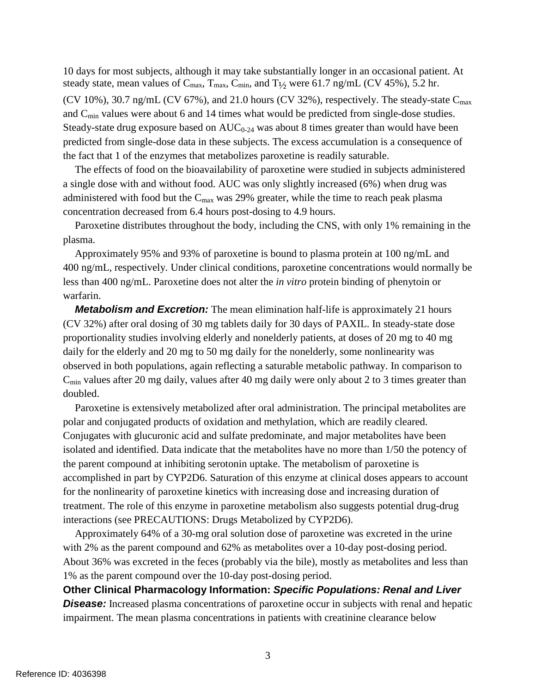10 days for most subjects, although it may take substantially longer in an occasional patient. At steady state, mean values of  $C_{\text{max}}$ ,  $T_{\text{max}}$ ,  $C_{\text{min}}$ , and  $T_{\frac{1}{2}}$  were 61.7 ng/mL (CV 45%), 5.2 hr. (CV 10%), 30.7 ng/mL (CV 67%), and 21.0 hours (CV 32%), respectively. The steady-state  $C_{\text{max}}$ and  $C_{\text{min}}$  values were about 6 and 14 times what would be predicted from single-dose studies. Steady-state drug exposure based on  $AUC_{0.24}$  was about 8 times greater than would have been predicted from single-dose data in these subjects. The excess accumulation is a consequence of the fact that 1 of the enzymes that metabolizes paroxetine is readily saturable.

 concentration decreased from 6.4 hours post-dosing to 4.9 hours. The effects of food on the bioavailability of paroxetine were studied in subjects administered a single dose with and without food. AUC was only slightly increased (6%) when drug was administered with food but the  $C_{\text{max}}$  was 29% greater, while the time to reach peak plasma

Paroxetine distributes throughout the body, including the CNS, with only 1% remaining in the plasma.

 less than 400 ng/mL. Paroxetine does not alter the *in vitro* protein binding of phenytoin or Approximately 95% and 93% of paroxetine is bound to plasma protein at 100 ng/mL and 400 ng/mL, respectively. Under clinical conditions, paroxetine concentrations would normally be warfarin.

 *Metabolism and Excretion:* The mean elimination half-life is approximately 21 hours (CV 32%) after oral dosing of 30 mg tablets daily for 30 days of PAXIL. In steady-state dose proportionality studies involving elderly and nonelderly patients, at doses of 20 mg to 40 mg daily for the elderly and 20 mg to 50 mg daily for the nonelderly, some nonlinearity was observed in both populations, again reflecting a saturable metabolic pathway. In comparison to  $C_{\text{min}}$  values after 20 mg daily, values after 40 mg daily were only about 2 to 3 times greater than doubled.

Paroxetine is extensively metabolized after oral administration. The principal metabolites are polar and conjugated products of oxidation and methylation, which are readily cleared. Conjugates with glucuronic acid and sulfate predominate, and major metabolites have been isolated and identified. Data indicate that the metabolites have no more than 1/50 the potency of the parent compound at inhibiting serotonin uptake. The metabolism of paroxetine is accomplished in part by CYP2D6. Saturation of this enzyme at clinical doses appears to account for the nonlinearity of paroxetine kinetics with increasing dose and increasing duration of treatment. The role of this enzyme in paroxetine metabolism also suggests potential drug-drug interactions (see PRECAUTIONS: Drugs Metabolized by CYP2D6).

Approximately 64% of a 30-mg oral solution dose of paroxetine was excreted in the urine with 2% as the parent compound and 62% as metabolites over a 10-day post-dosing period. About 36% was excreted in the feces (probably via the bile), mostly as metabolites and less than 1% as the parent compound over the 10-day post-dosing period.

**Other Clinical Pharmacology Information:** *Specific Populations: Renal and Liver*  **Disease:** Increased plasma concentrations of paroxetine occur in subjects with renal and hepatic impairment. The mean plasma concentrations in patients with creatinine clearance below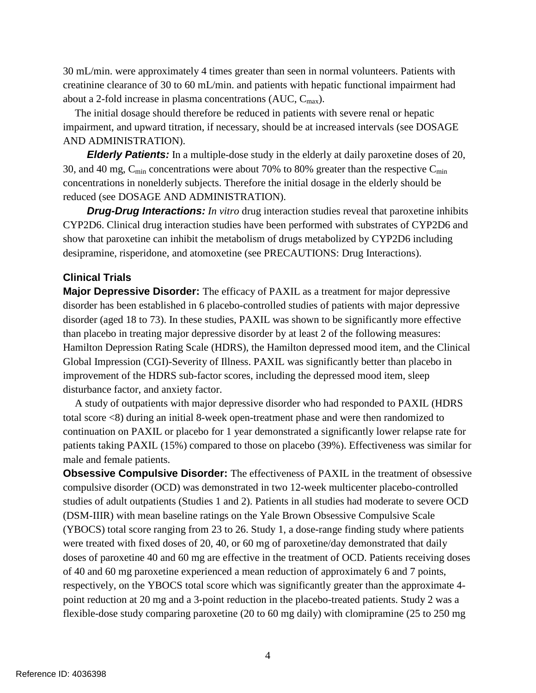30 mL/min. were approximately 4 times greater than seen in normal volunteers. Patients with creatinine clearance of 30 to 60 mL/min. and patients with hepatic functional impairment had about a 2-fold increase in plasma concentrations (AUC,  $C_{\text{max}}$ ).

The initial dosage should therefore be reduced in patients with severe renal or hepatic impairment, and upward titration, if necessary, should be at increased intervals (see DOSAGE AND ADMINISTRATION).

30, and 40 mg,  $C_{\text{min}}$  concentrations were about 70% to 80% greater than the respective  $C_{\text{min}}$ *Elderly Patients:* In a multiple-dose study in the elderly at daily paroxetine doses of 20, concentrations in nonelderly subjects. Therefore the initial dosage in the elderly should be reduced (see DOSAGE AND ADMINISTRATION).

**Drug-Drug Interactions:** *In vitro* drug interaction studies reveal that paroxetine inhibits CYP2D6. Clinical drug interaction studies have been performed with substrates of CYP2D6 and show that paroxetine can inhibit the metabolism of drugs metabolized by CYP2D6 including desipramine, risperidone, and atomoxetine (see PRECAUTIONS: Drug Interactions).

#### **Clinical Trials**

**Major Depressive Disorder:** The efficacy of PAXIL as a treatment for major depressive disorder has been established in 6 placebo-controlled studies of patients with major depressive disorder (aged 18 to 73). In these studies, PAXIL was shown to be significantly more effective than placebo in treating major depressive disorder by at least 2 of the following measures: Hamilton Depression Rating Scale (HDRS), the Hamilton depressed mood item, and the Clinical Global Impression (CGI)-Severity of Illness. PAXIL was significantly better than placebo in improvement of the HDRS sub-factor scores, including the depressed mood item, sleep disturbance factor, and anxiety factor.

 A study of outpatients with major depressive disorder who had responded to PAXIL (HDRS total score <8) during an initial 8-week open-treatment phase and were then randomized to continuation on PAXIL or placebo for 1 year demonstrated a significantly lower relapse rate for patients taking PAXIL (15%) compared to those on placebo (39%). Effectiveness was similar for male and female patients.

 studies of adult outpatients (Studies 1 and 2). Patients in all studies had moderate to severe OCD were treated with fixed doses of 20, 40, or 60 mg of paroxetine/day demonstrated that daily of 40 and 60 mg paroxetine experienced a mean reduction of approximately 6 and 7 points, respectively, on the YBOCS total score which was significantly greater than the approximate 4 **Obsessive Compulsive Disorder:** The effectiveness of PAXIL in the treatment of obsessive compulsive disorder (OCD) was demonstrated in two 12-week multicenter placebo-controlled (DSM-IIIR) with mean baseline ratings on the Yale Brown Obsessive Compulsive Scale (YBOCS) total score ranging from 23 to 26. Study 1, a dose-range finding study where patients doses of paroxetine 40 and 60 mg are effective in the treatment of OCD. Patients receiving doses point reduction at 20 mg and a 3-point reduction in the placebo-treated patients. Study 2 was a flexible-dose study comparing paroxetine (20 to 60 mg daily) with clomipramine (25 to 250 mg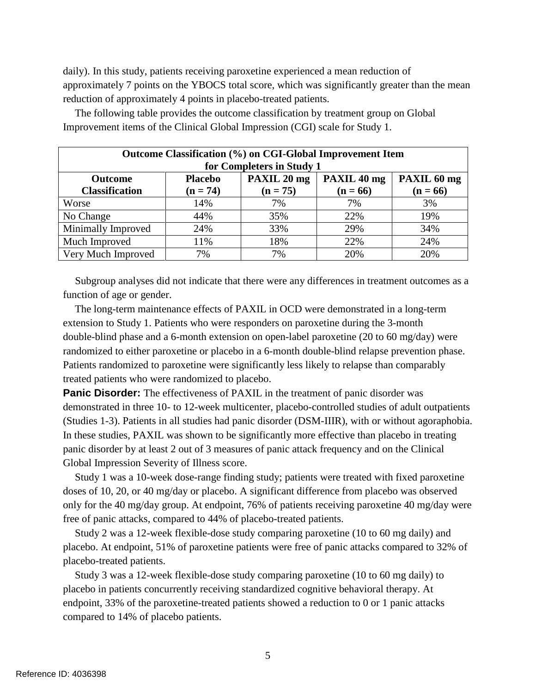daily). In this study, patients receiving paroxetine experienced a mean reduction of approximately 7 points on the YBOCS total score, which was significantly greater than the mean reduction of approximately 4 points in placebo-treated patients.

| Outcome Classification (%) on CGI-Global Improvement Item<br>for Completers in Study 1 |            |            |            |            |  |  |
|----------------------------------------------------------------------------------------|------------|------------|------------|------------|--|--|
| PAXIL 20 mg<br>PAXIL 40 mg<br>PAXIL 60 mg<br><b>Placebo</b><br><b>Outcome</b>          |            |            |            |            |  |  |
| <b>Classification</b>                                                                  | $(n = 74)$ | $(n = 75)$ | $(n = 66)$ | $(n = 66)$ |  |  |
| Worse                                                                                  | 14%        | 7%         | 7%         | 3%         |  |  |
| No Change                                                                              | 44%        | 35%        | 22%        | 19%        |  |  |
| Minimally Improved                                                                     | 24%        | 33%        | 29%        | 34%        |  |  |
| Much Improved                                                                          | 11%        | 18%        | 22%        | 24%        |  |  |
| Very Much Improved                                                                     | 7%         | 7%         | 20%        | 20%        |  |  |

 Improvement items of the Clinical Global Impression (CGI) scale for Study 1. The following table provides the outcome classification by treatment group on Global

 function of age or gender. Subgroup analyses did not indicate that there were any differences in treatment outcomes as a

The long-term maintenance effects of PAXIL in OCD were demonstrated in a long-term extension to Study 1. Patients who were responders on paroxetine during the 3-month double-blind phase and a 6-month extension on open-label paroxetine (20 to 60 mg/day) were randomized to either paroxetine or placebo in a 6-month double-blind relapse prevention phase. Patients randomized to paroxetine were significantly less likely to relapse than comparably treated patients who were randomized to placebo.

**Panic Disorder:** The effectiveness of PAXIL in the treatment of panic disorder was demonstrated in three 10- to 12-week multicenter, placebo-controlled studies of adult outpatients (Studies 1-3). Patients in all studies had panic disorder (DSM-IIIR), with or without agoraphobia. In these studies, PAXIL was shown to be significantly more effective than placebo in treating panic disorder by at least 2 out of 3 measures of panic attack frequency and on the Clinical Global Impression Severity of Illness score.

 only for the 40 mg/day group. At endpoint, 76% of patients receiving paroxetine 40 mg/day were Study 1 was a 10-week dose-range finding study; patients were treated with fixed paroxetine doses of 10, 20, or 40 mg/day or placebo. A significant difference from placebo was observed free of panic attacks, compared to 44% of placebo-treated patients.

 placebo. At endpoint, 51% of paroxetine patients were free of panic attacks compared to 32% of Study 2 was a 12-week flexible-dose study comparing paroxetine (10 to 60 mg daily) and placebo-treated patients.

Study 3 was a 12-week flexible-dose study comparing paroxetine (10 to 60 mg daily) to placebo in patients concurrently receiving standardized cognitive behavioral therapy. At endpoint, 33% of the paroxetine-treated patients showed a reduction to 0 or 1 panic attacks compared to 14% of placebo patients.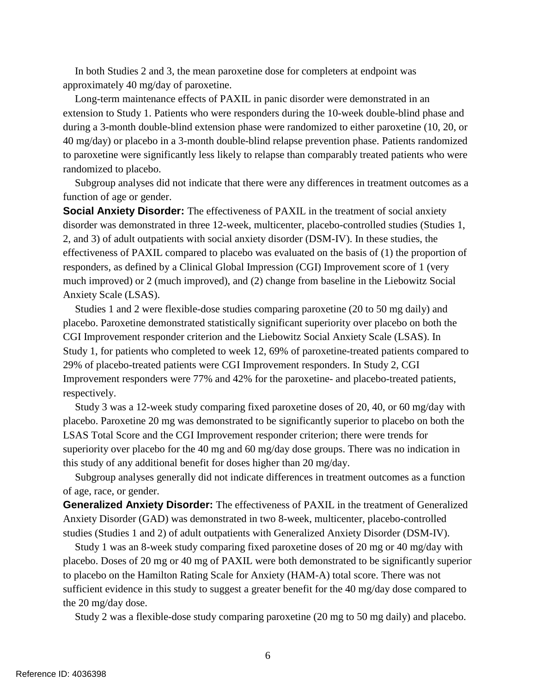In both Studies 2 and 3, the mean paroxetine dose for completers at endpoint was approximately 40 mg/day of paroxetine.

Long-term maintenance effects of PAXIL in panic disorder were demonstrated in an extension to Study 1. Patients who were responders during the 10-week double-blind phase and during a 3-month double-blind extension phase were randomized to either paroxetine (10, 20, or 40 mg/day) or placebo in a 3-month double-blind relapse prevention phase. Patients randomized to paroxetine were significantly less likely to relapse than comparably treated patients who were randomized to placebo.

 function of age or gender. Subgroup analyses did not indicate that there were any differences in treatment outcomes as a

**Social Anxiety Disorder:** The effectiveness of PAXIL in the treatment of social anxiety disorder was demonstrated in three 12-week, multicenter, placebo-controlled studies (Studies 1, 2, and 3) of adult outpatients with social anxiety disorder (DSM-IV). In these studies, the effectiveness of PAXIL compared to placebo was evaluated on the basis of (1) the proportion of responders, as defined by a Clinical Global Impression (CGI) Improvement score of 1 (very much improved) or 2 (much improved), and (2) change from baseline in the Liebowitz Social Anxiety Scale (LSAS).

 Study 1, for patients who completed to week 12, 69% of paroxetine-treated patients compared to Studies 1 and 2 were flexible-dose studies comparing paroxetine (20 to 50 mg daily) and placebo. Paroxetine demonstrated statistically significant superiority over placebo on both the CGI Improvement responder criterion and the Liebowitz Social Anxiety Scale (LSAS). In 29% of placebo-treated patients were CGI Improvement responders. In Study 2, CGI Improvement responders were 77% and 42% for the paroxetine- and placebo-treated patients, respectively.

 LSAS Total Score and the CGI Improvement responder criterion; there were trends for superiority over placebo for the 40 mg and 60 mg/day dose groups. There was no indication in this study of any additional benefit for doses higher than 20 mg/day. Study 3 was a 12-week study comparing fixed paroxetine doses of 20, 40, or 60 mg/day with placebo. Paroxetine 20 mg was demonstrated to be significantly superior to placebo on both the

Subgroup analyses generally did not indicate differences in treatment outcomes as a function of age, race, or gender.

**Generalized Anxiety Disorder:** The effectiveness of PAXIL in the treatment of Generalized Anxiety Disorder (GAD) was demonstrated in two 8-week, multicenter, placebo-controlled studies (Studies 1 and 2) of adult outpatients with Generalized Anxiety Disorder (DSM-IV).

 Study 1 was an 8-week study comparing fixed paroxetine doses of 20 mg or 40 mg/day with placebo. Doses of 20 mg or 40 mg of PAXIL were both demonstrated to be significantly superior to placebo on the Hamilton Rating Scale for Anxiety (HAM-A) total score. There was not sufficient evidence in this study to suggest a greater benefit for the 40 mg/day dose compared to the 20 mg/day dose.

Study 2 was a flexible-dose study comparing paroxetine (20 mg to 50 mg daily) and placebo.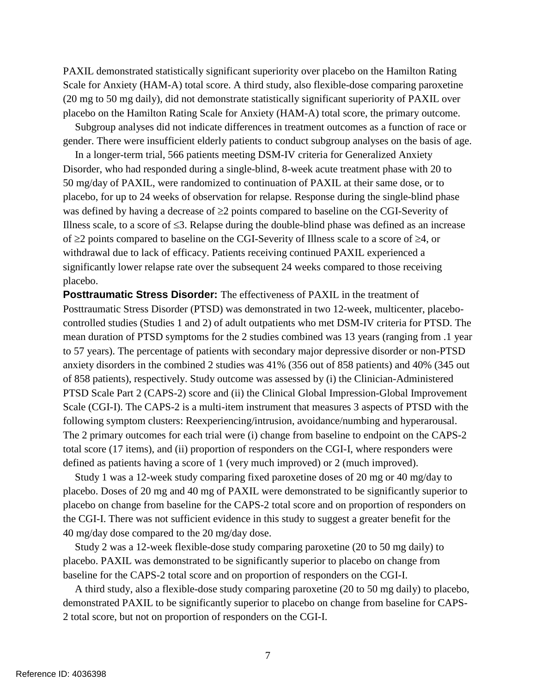(20 mg to 50 mg daily), did not demonstrate statistically significant superiority of PAXIL over placebo on the Hamilton Rating Scale for Anxiety (HAM-A) total score, the primary outcome. PAXIL demonstrated statistically significant superiority over placebo on the Hamilton Rating Scale for Anxiety (HAM-A) total score. A third study, also flexible-dose comparing paroxetine

Subgroup analyses did not indicate differences in treatment outcomes as a function of race or gender. There were insufficient elderly patients to conduct subgroup analyses on the basis of age.

In a longer-term trial, 566 patients meeting DSM-IV criteria for Generalized Anxiety Disorder, who had responded during a single-blind, 8-week acute treatment phase with 20 to 50 mg/day of PAXIL, were randomized to continuation of PAXIL at their same dose, or to placebo, for up to 24 weeks of observation for relapse. Response during the single-blind phase was defined by having a decrease of ≥2 points compared to baseline on the CGI-Severity of Illness scale, to a score of  $\leq$ 3. Relapse during the double-blind phase was defined as an increase of ≥2 points compared to baseline on the CGI-Severity of Illness scale to a score of ≥4, or withdrawal due to lack of efficacy. Patients receiving continued PAXIL experienced a significantly lower relapse rate over the subsequent 24 weeks compared to those receiving placebo.

**Posttraumatic Stress Disorder:** The effectiveness of PAXIL in the treatment of Posttraumatic Stress Disorder (PTSD) was demonstrated in two 12-week, multicenter, placebocontrolled studies (Studies 1 and 2) of adult outpatients who met DSM-IV criteria for PTSD. The mean duration of PTSD symptoms for the 2 studies combined was 13 years (ranging from .1 year to 57 years). The percentage of patients with secondary major depressive disorder or non-PTSD anxiety disorders in the combined 2 studies was 41% (356 out of 858 patients) and 40% (345 out of 858 patients), respectively. Study outcome was assessed by (i) the Clinician-Administered PTSD Scale Part 2 (CAPS-2) score and (ii) the Clinical Global Impression-Global Improvement Scale (CGI-I). The CAPS-2 is a multi-item instrument that measures 3 aspects of PTSD with the following symptom clusters: Reexperiencing/intrusion, avoidance/numbing and hyperarousal. The 2 primary outcomes for each trial were (i) change from baseline to endpoint on the CAPS-2 total score (17 items), and (ii) proportion of responders on the CGI-I, where responders were defined as patients having a score of 1 (very much improved) or 2 (much improved).

 placebo. Doses of 20 mg and 40 mg of PAXIL were demonstrated to be significantly superior to Study 1 was a 12-week study comparing fixed paroxetine doses of 20 mg or 40 mg/day to placebo on change from baseline for the CAPS-2 total score and on proportion of responders on the CGI-I. There was not sufficient evidence in this study to suggest a greater benefit for the 40 mg/day dose compared to the 20 mg/day dose.

 baseline for the CAPS-2 total score and on proportion of responders on the CGI-I. Study 2 was a 12-week flexible-dose study comparing paroxetine (20 to 50 mg daily) to placebo. PAXIL was demonstrated to be significantly superior to placebo on change from

A third study, also a flexible-dose study comparing paroxetine (20 to 50 mg daily) to placebo, demonstrated PAXIL to be significantly superior to placebo on change from baseline for CAPS-2 total score, but not on proportion of responders on the CGI-I.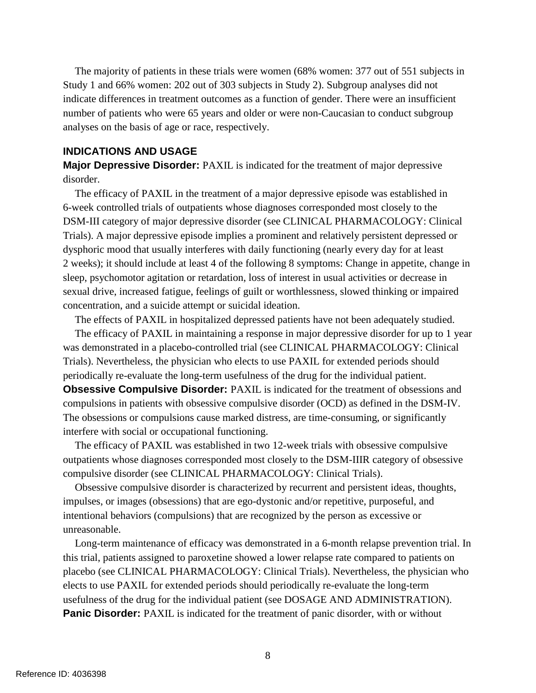number of patients who were 65 years and older or were non-Caucasian to conduct subgroup The majority of patients in these trials were women (68% women: 377 out of 551 subjects in Study 1 and 66% women: 202 out of 303 subjects in Study 2). Subgroup analyses did not indicate differences in treatment outcomes as a function of gender. There were an insufficient analyses on the basis of age or race, respectively.

#### **INDICATIONS AND USAGE**

**Major Depressive Disorder:** PAXIL is indicated for the treatment of major depressive disorder.

 dysphoric mood that usually interferes with daily functioning (nearly every day for at least 2 weeks); it should include at least 4 of the following 8 symptoms: Change in appetite, change in sexual drive, increased fatigue, feelings of guilt or worthlessness, slowed thinking or impaired The efficacy of PAXIL in the treatment of a major depressive episode was established in 6-week controlled trials of outpatients whose diagnoses corresponded most closely to the DSM-III category of major depressive disorder (see CLINICAL PHARMACOLOGY: Clinical Trials). A major depressive episode implies a prominent and relatively persistent depressed or sleep, psychomotor agitation or retardation, loss of interest in usual activities or decrease in concentration, and a suicide attempt or suicidal ideation.

The effects of PAXIL in hospitalized depressed patients have not been adequately studied.

The efficacy of PAXIL in maintaining a response in major depressive disorder for up to 1 year was demonstrated in a placebo-controlled trial (see CLINICAL PHARMACOLOGY: Clinical Trials). Nevertheless, the physician who elects to use PAXIL for extended periods should periodically re-evaluate the long-term usefulness of the drug for the individual patient.

**Obsessive Compulsive Disorder:** PAXIL is indicated for the treatment of obsessions and compulsions in patients with obsessive compulsive disorder (OCD) as defined in the DSM-IV. The obsessions or compulsions cause marked distress, are time-consuming, or significantly interfere with social or occupational functioning.

The efficacy of PAXIL was established in two 12-week trials with obsessive compulsive outpatients whose diagnoses corresponded most closely to the DSM-IIIR category of obsessive compulsive disorder (see CLINICAL PHARMACOLOGY: Clinical Trials).

Obsessive compulsive disorder is characterized by recurrent and persistent ideas, thoughts, impulses, or images (obsessions) that are ego-dystonic and/or repetitive, purposeful, and intentional behaviors (compulsions) that are recognized by the person as excessive or unreasonable.

Long-term maintenance of efficacy was demonstrated in a 6-month relapse prevention trial. In this trial, patients assigned to paroxetine showed a lower relapse rate compared to patients on placebo (see CLINICAL PHARMACOLOGY: Clinical Trials). Nevertheless, the physician who elects to use PAXIL for extended periods should periodically re-evaluate the long-term usefulness of the drug for the individual patient (see DOSAGE AND ADMINISTRATION). **Panic Disorder:** PAXIL is indicated for the treatment of panic disorder, with or without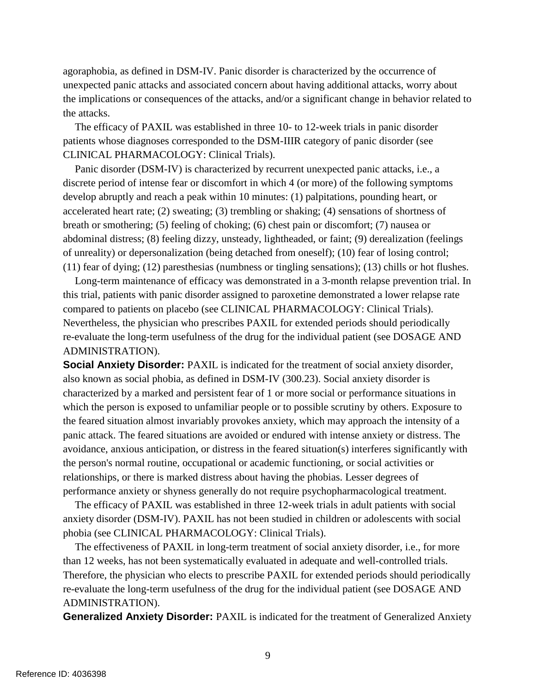unexpected panic attacks and associated concern about having additional attacks, worry about agoraphobia, as defined in DSM-IV. Panic disorder is characterized by the occurrence of the implications or consequences of the attacks, and/or a significant change in behavior related to the attacks.

The efficacy of PAXIL was established in three 10- to 12-week trials in panic disorder patients whose diagnoses corresponded to the DSM-IIIR category of panic disorder (see CLINICAL PHARMACOLOGY: Clinical Trials).

 accelerated heart rate; (2) sweating; (3) trembling or shaking; (4) sensations of shortness of abdominal distress; (8) feeling dizzy, unsteady, lightheaded, or faint; (9) derealization (feelings of unreality) or depersonalization (being detached from oneself); (10) fear of losing control; Panic disorder (DSM-IV) is characterized by recurrent unexpected panic attacks, i.e., a discrete period of intense fear or discomfort in which 4 (or more) of the following symptoms develop abruptly and reach a peak within 10 minutes: (1) palpitations, pounding heart, or breath or smothering; (5) feeling of choking; (6) chest pain or discomfort; (7) nausea or (11) fear of dying; (12) paresthesias (numbness or tingling sensations); (13) chills or hot flushes.

Long-term maintenance of efficacy was demonstrated in a 3-month relapse prevention trial. In this trial, patients with panic disorder assigned to paroxetine demonstrated a lower relapse rate compared to patients on placebo (see CLINICAL PHARMACOLOGY: Clinical Trials). Nevertheless, the physician who prescribes PAXIL for extended periods should periodically re-evaluate the long-term usefulness of the drug for the individual patient (see DOSAGE AND ADMINISTRATION).

 also known as social phobia, as defined in DSM-IV (300.23). Social anxiety disorder is the feared situation almost invariably provokes anxiety, which may approach the intensity of a relationships, or there is marked distress about having the phobias. Lesser degrees of **Social Anxiety Disorder:** PAXIL is indicated for the treatment of social anxiety disorder, characterized by a marked and persistent fear of 1 or more social or performance situations in which the person is exposed to unfamiliar people or to possible scrutiny by others. Exposure to panic attack. The feared situations are avoided or endured with intense anxiety or distress. The avoidance, anxious anticipation, or distress in the feared situation(s) interferes significantly with the person's normal routine, occupational or academic functioning, or social activities or performance anxiety or shyness generally do not require psychopharmacological treatment.

The efficacy of PAXIL was established in three 12-week trials in adult patients with social anxiety disorder (DSM-IV). PAXIL has not been studied in children or adolescents with social phobia (see CLINICAL PHARMACOLOGY: Clinical Trials).

 re-evaluate the long-term usefulness of the drug for the individual patient (see DOSAGE AND The effectiveness of PAXIL in long-term treatment of social anxiety disorder, i.e., for more than 12 weeks, has not been systematically evaluated in adequate and well-controlled trials. Therefore, the physician who elects to prescribe PAXIL for extended periods should periodically ADMINISTRATION).

**Generalized Anxiety Disorder:** PAXIL is indicated for the treatment of Generalized Anxiety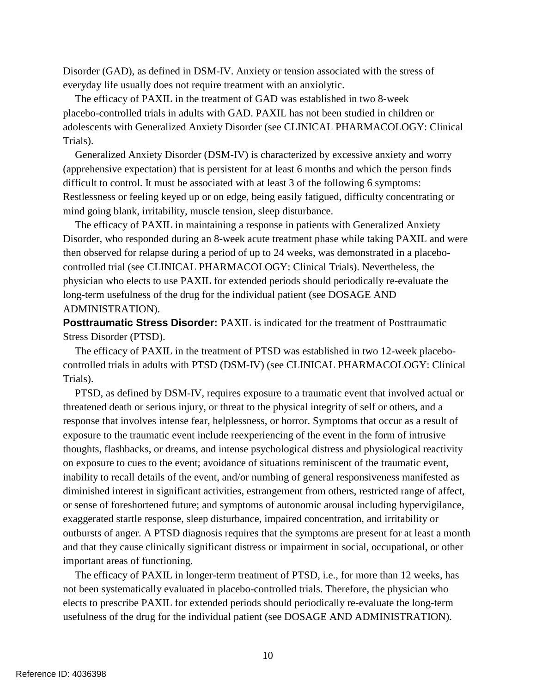Disorder (GAD), as defined in DSM-IV. Anxiety or tension associated with the stress of everyday life usually does not require treatment with an anxiolytic.

The efficacy of PAXIL in the treatment of GAD was established in two 8-week placebo-controlled trials in adults with GAD. PAXIL has not been studied in children or adolescents with Generalized Anxiety Disorder (see CLINICAL PHARMACOLOGY: Clinical Trials).

 Generalized Anxiety Disorder (DSM-IV) is characterized by excessive anxiety and worry (apprehensive expectation) that is persistent for at least 6 months and which the person finds difficult to control. It must be associated with at least 3 of the following 6 symptoms: Restlessness or feeling keyed up or on edge, being easily fatigued, difficulty concentrating or mind going blank, irritability, muscle tension, sleep disturbance.

 Disorder, who responded during an 8-week acute treatment phase while taking PAXIL and were physician who elects to use PAXIL for extended periods should periodically re-evaluate the The efficacy of PAXIL in maintaining a response in patients with Generalized Anxiety then observed for relapse during a period of up to 24 weeks, was demonstrated in a placebocontrolled trial (see CLINICAL PHARMACOLOGY: Clinical Trials). Nevertheless, the long-term usefulness of the drug for the individual patient (see DOSAGE AND ADMINISTRATION).

**Posttraumatic Stress Disorder:** PAXIL is indicated for the treatment of Posttraumatic Stress Disorder (PTSD).

The efficacy of PAXIL in the treatment of PTSD was established in two 12-week placebocontrolled trials in adults with PTSD (DSM-IV) (see CLINICAL PHARMACOLOGY: Clinical Trials).

 response that involves intense fear, helplessness, or horror. Symptoms that occur as a result of PTSD, as defined by DSM-IV, requires exposure to a traumatic event that involved actual or threatened death or serious injury, or threat to the physical integrity of self or others, and a exposure to the traumatic event include reexperiencing of the event in the form of intrusive thoughts, flashbacks, or dreams, and intense psychological distress and physiological reactivity on exposure to cues to the event; avoidance of situations reminiscent of the traumatic event, inability to recall details of the event, and/or numbing of general responsiveness manifested as diminished interest in significant activities, estrangement from others, restricted range of affect, or sense of foreshortened future; and symptoms of autonomic arousal including hypervigilance, exaggerated startle response, sleep disturbance, impaired concentration, and irritability or outbursts of anger. A PTSD diagnosis requires that the symptoms are present for at least a month and that they cause clinically significant distress or impairment in social, occupational, or other important areas of functioning.

The efficacy of PAXIL in longer-term treatment of PTSD, i.e., for more than 12 weeks, has not been systematically evaluated in placebo-controlled trials. Therefore, the physician who elects to prescribe PAXIL for extended periods should periodically re-evaluate the long-term usefulness of the drug for the individual patient (see DOSAGE AND ADMINISTRATION).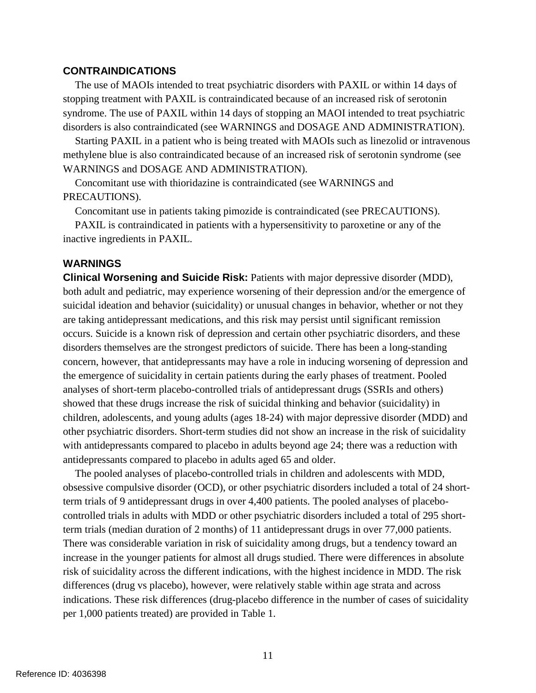#### **CONTRAINDICATIONS**

 The use of MAOIs intended to treat psychiatric disorders with PAXIL or within 14 days of stopping treatment with PAXIL is contraindicated because of an increased risk of serotonin syndrome. The use of PAXIL within 14 days of stopping an MAOI intended to treat psychiatric disorders is also contraindicated (see WARNINGS and DOSAGE AND ADMINISTRATION).

 methylene blue is also contraindicated because of an increased risk of serotonin syndrome (see Starting PAXIL in a patient who is being treated with MAOIs such as linezolid or intravenous WARNINGS and DOSAGE AND ADMINISTRATION).

Concomitant use with thioridazine is contraindicated (see WARNINGS and PRECAUTIONS).

Concomitant use in patients taking pimozide is contraindicated (see PRECAUTIONS).

PAXIL is contraindicated in patients with a hypersensitivity to paroxetine or any of the inactive ingredients in PAXIL.

## **WARNINGS**

**Clinical Worsening and Suicide Risk:** Patients with major depressive disorder (MDD), both adult and pediatric, may experience worsening of their depression and/or the emergence of suicidal ideation and behavior (suicidality) or unusual changes in behavior, whether or not they are taking antidepressant medications, and this risk may persist until significant remission occurs. Suicide is a known risk of depression and certain other psychiatric disorders, and these disorders themselves are the strongest predictors of suicide. There has been a long-standing concern, however, that antidepressants may have a role in inducing worsening of depression and the emergence of suicidality in certain patients during the early phases of treatment. Pooled analyses of short-term placebo-controlled trials of antidepressant drugs (SSRIs and others) showed that these drugs increase the risk of suicidal thinking and behavior (suicidality) in children, adolescents, and young adults (ages 18-24) with major depressive disorder (MDD) and other psychiatric disorders. Short-term studies did not show an increase in the risk of suicidality with antidepressants compared to placebo in adults beyond age 24; there was a reduction with antidepressants compared to placebo in adults aged 65 and older.

 term trials of 9 antidepressant drugs in over 4,400 patients. The pooled analyses of placebo- differences (drug vs placebo), however, were relatively stable within age strata and across per 1,000 patients treated) are provided in Table 1. The pooled analyses of placebo-controlled trials in children and adolescents with MDD, obsessive compulsive disorder (OCD), or other psychiatric disorders included a total of 24 shortcontrolled trials in adults with MDD or other psychiatric disorders included a total of 295 shortterm trials (median duration of 2 months) of 11 antidepressant drugs in over 77,000 patients. There was considerable variation in risk of suicidality among drugs, but a tendency toward an increase in the younger patients for almost all drugs studied. There were differences in absolute risk of suicidality across the different indications, with the highest incidence in MDD. The risk indications. These risk differences (drug-placebo difference in the number of cases of suicidality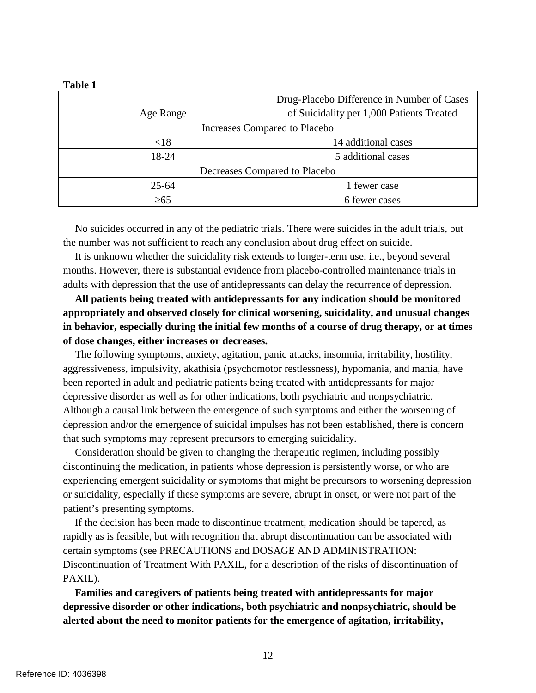| 1uviv 1   |                                            |  |  |
|-----------|--------------------------------------------|--|--|
|           | Drug-Placebo Difference in Number of Cases |  |  |
| Age Range | of Suicidality per 1,000 Patients Treated  |  |  |
|           | Increases Compared to Placebo              |  |  |
| < 18      | 14 additional cases                        |  |  |
| 18-24     | 5 additional cases                         |  |  |
|           | Decreases Compared to Placebo              |  |  |
| $25 - 64$ | 1 fewer case                               |  |  |
| $\geq 65$ | 6 fewer cases                              |  |  |
|           |                                            |  |  |

No suicides occurred in any of the pediatric trials. There were suicides in the adult trials, but the number was not sufficient to reach any conclusion about drug effect on suicide.

It is unknown whether the suicidality risk extends to longer-term use, i.e., beyond several months. However, there is substantial evidence from placebo-controlled maintenance trials in adults with depression that the use of antidepressants can delay the recurrence of depression.

**All patients being treated with antidepressants for any indication should be monitored appropriately and observed closely for clinical worsening, suicidality, and unusual changes in behavior, especially during the initial few months of a course of drug therapy, or at times of dose changes, either increases or decreases.** 

The following symptoms, anxiety, agitation, panic attacks, insomnia, irritability, hostility, aggressiveness, impulsivity, akathisia (psychomotor restlessness), hypomania, and mania, have been reported in adult and pediatric patients being treated with antidepressants for major depressive disorder as well as for other indications, both psychiatric and nonpsychiatric. Although a causal link between the emergence of such symptoms and either the worsening of depression and/or the emergence of suicidal impulses has not been established, there is concern that such symptoms may represent precursors to emerging suicidality.

Consideration should be given to changing the therapeutic regimen, including possibly discontinuing the medication, in patients whose depression is persistently worse, or who are experiencing emergent suicidality or symptoms that might be precursors to worsening depression or suicidality, especially if these symptoms are severe, abrupt in onset, or were not part of the patient's presenting symptoms.

If the decision has been made to discontinue treatment, medication should be tapered, as rapidly as is feasible, but with recognition that abrupt discontinuation can be associated with certain symptoms (see PRECAUTIONS and DOSAGE AND ADMINISTRATION: Discontinuation of Treatment With PAXIL, for a description of the risks of discontinuation of PAXIL).

**Families and caregivers of patients being treated with antidepressants for major depressive disorder or other indications, both psychiatric and nonpsychiatric, should be alerted about the need to monitor patients for the emergence of agitation, irritability,** 

**Table 1**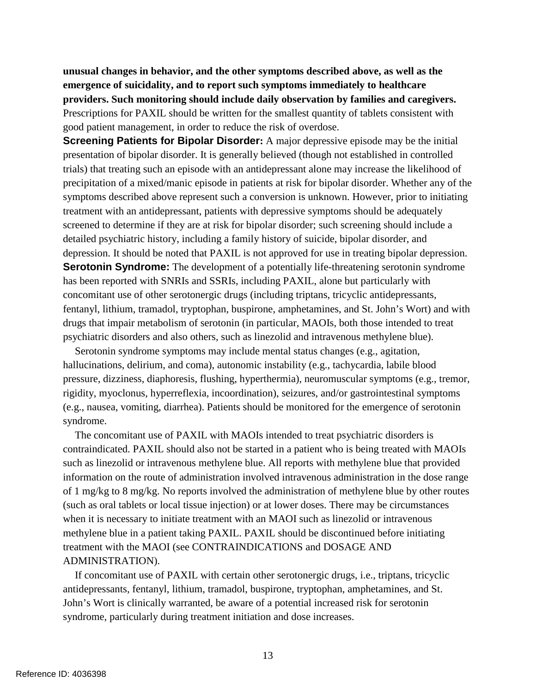Prescriptions for PAXIL should be written for the smallest quantity of tablets consistent with good patient management, in order to reduce the risk of overdose. **unusual changes in behavior, and the other symptoms described above, as well as the emergence of suicidality, and to report such symptoms immediately to healthcare providers. Such monitoring should include daily observation by families and caregivers.** 

 screened to determine if they are at risk for bipolar disorder; such screening should include a **Screening Patients for Bipolar Disorder:** A major depressive episode may be the initial presentation of bipolar disorder. It is generally believed (though not established in controlled trials) that treating such an episode with an antidepressant alone may increase the likelihood of precipitation of a mixed/manic episode in patients at risk for bipolar disorder. Whether any of the symptoms described above represent such a conversion is unknown. However, prior to initiating treatment with an antidepressant, patients with depressive symptoms should be adequately detailed psychiatric history, including a family history of suicide, bipolar disorder, and depression. It should be noted that PAXIL is not approved for use in treating bipolar depression. **Serotonin Syndrome:** The development of a potentially life-threatening serotonin syndrome has been reported with SNRIs and SSRIs, including PAXIL, alone but particularly with concomitant use of other serotonergic drugs (including triptans, tricyclic antidepressants, fentanyl, lithium, tramadol, tryptophan, buspirone, amphetamines, and St. John's Wort) and with drugs that impair metabolism of serotonin (in particular, MAOIs, both those intended to treat psychiatric disorders and also others, such as linezolid and intravenous methylene blue).

Serotonin syndrome symptoms may include mental status changes (e.g., agitation, hallucinations, delirium, and coma), autonomic instability (e.g., tachycardia, labile blood pressure, dizziness, diaphoresis, flushing, hyperthermia), neuromuscular symptoms (e.g., tremor, rigidity, myoclonus, hyperreflexia, incoordination), seizures, and/or gastrointestinal symptoms (e.g., nausea, vomiting, diarrhea). Patients should be monitored for the emergence of serotonin syndrome.

The concomitant use of PAXIL with MAOIs intended to treat psychiatric disorders is contraindicated. PAXIL should also not be started in a patient who is being treated with MAOIs such as linezolid or intravenous methylene blue. All reports with methylene blue that provided information on the route of administration involved intravenous administration in the dose range of 1 mg/kg to 8 mg/kg. No reports involved the administration of methylene blue by other routes (such as oral tablets or local tissue injection) or at lower doses. There may be circumstances when it is necessary to initiate treatment with an MAOI such as linezolid or intravenous methylene blue in a patient taking PAXIL. PAXIL should be discontinued before initiating treatment with the MAOI (see CONTRAINDICATIONS and DOSAGE AND ADMINISTRATION).

 John's Wort is clinically warranted, be aware of a potential increased risk for serotonin If concomitant use of PAXIL with certain other serotonergic drugs, i.e., triptans, tricyclic antidepressants, fentanyl, lithium, tramadol, buspirone, tryptophan, amphetamines, and St. syndrome, particularly during treatment initiation and dose increases.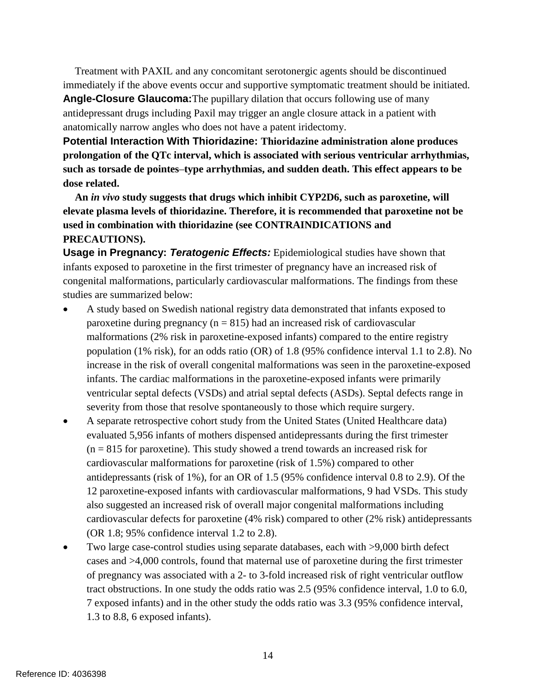Treatment with PAXIL and any concomitant serotonergic agents should be discontinued immediately if the above events occur and supportive symptomatic treatment should be initiated. **Angle-Closure Glaucoma:**The pupillary dilation that occurs following use of many antidepressant drugs including Paxil may trigger an angle closure attack in a patient with anatomically narrow angles who does not have a patent iridectomy.

**Potential Interaction With Thioridazine: Thioridazine administration alone produces prolongation of the QTc interval, which is associated with serious ventricular arrhythmias, such as torsade de pointes**–**type arrhythmias, and sudden death. This effect appears to be dose related.** 

**An** *in vivo* **study suggests that drugs which inhibit CYP2D6, such as paroxetine, will elevate plasma levels of thioridazine. Therefore, it is recommended that paroxetine not be used in combination with thioridazine (see CONTRAINDICATIONS and PRECAUTIONS).** 

**Usage in Pregnancy:** *Teratogenic Effects:* Epidemiological studies have shown that infants exposed to paroxetine in the first trimester of pregnancy have an increased risk of congenital malformations, particularly cardiovascular malformations. The findings from these studies are summarized below:

- A study based on Swedish national registry data demonstrated that infants exposed to paroxetine during pregnancy ( $n = 815$ ) had an increased risk of cardiovascular population (1% risk), for an odds ratio (OR) of 1.8 (95% confidence interval 1.1 to 2.8). No infants. The cardiac malformations in the paroxetine-exposed infants were primarily severity from those that resolve spontaneously to those which require surgery. malformations (2% risk in paroxetine-exposed infants) compared to the entire registry increase in the risk of overall congenital malformations was seen in the paroxetine-exposed ventricular septal defects (VSDs) and atrial septal defects (ASDs). Septal defects range in
- $(n = 815$  for paroxetine). This study showed a trend towards an increased risk for (OR 1.8; 95% confidence interval 1.2 to 2.8). • A separate retrospective cohort study from the United States (United Healthcare data) evaluated 5,956 infants of mothers dispensed antidepressants during the first trimester cardiovascular malformations for paroxetine (risk of 1.5%) compared to other antidepressants (risk of 1%), for an OR of 1.5 (95% confidence interval 0.8 to 2.9). Of the 12 paroxetine-exposed infants with cardiovascular malformations, 9 had VSDs. This study also suggested an increased risk of overall major congenital malformations including cardiovascular defects for paroxetine (4% risk) compared to other (2% risk) antidepressants
- tract obstructions. In one study the odds ratio was 2.5 (95% confidence interval, 1.0 to 6.0, 7 exposed infants) and in the other study the odds ratio was 3.3 (95% confidence interval, • Two large case-control studies using separate databases, each with >9,000 birth defect cases and >4,000 controls, found that maternal use of paroxetine during the first trimester of pregnancy was associated with a 2- to 3-fold increased risk of right ventricular outflow 1.3 to 8.8, 6 exposed infants).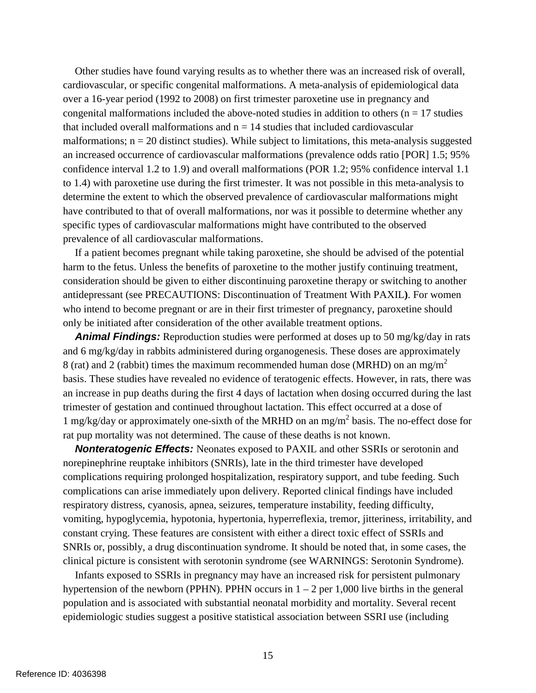an increased occurrence of cardiovascular malformations (prevalence odds ratio [POR] 1.5; 95% Other studies have found varying results as to whether there was an increased risk of overall, cardiovascular, or specific congenital malformations. A meta-analysis of epidemiological data over a 16-year period (1992 to 2008) on first trimester paroxetine use in pregnancy and congenital malformations included the above-noted studies in addition to others ( $n = 17$  studies that included overall malformations and  $n = 14$  studies that included cardiovascular malformations;  $n = 20$  distinct studies). While subject to limitations, this meta-analysis suggested confidence interval 1.2 to 1.9) and overall malformations (POR 1.2; 95% confidence interval 1.1 to 1.4) with paroxetine use during the first trimester. It was not possible in this meta-analysis to determine the extent to which the observed prevalence of cardiovascular malformations might have contributed to that of overall malformations, nor was it possible to determine whether any specific types of cardiovascular malformations might have contributed to the observed prevalence of all cardiovascular malformations.

If a patient becomes pregnant while taking paroxetine, she should be advised of the potential harm to the fetus. Unless the benefits of paroxetine to the mother justify continuing treatment, consideration should be given to either discontinuing paroxetine therapy or switching to another antidepressant (see PRECAUTIONS: Discontinuation of Treatment With PAXIL**)**. For women who intend to become pregnant or are in their first trimester of pregnancy, paroxetine should only be initiated after consideration of the other available treatment options.

8 (rat) and 2 (rabbit) times the maximum recommended human dose (MRHD) on an mg/m<sup>2</sup> an increase in pup deaths during the first 4 days of lactation when dosing occurred during the last *Animal Findings:* Reproduction studies were performed at doses up to 50 mg/kg/day in rats and 6 mg/kg/day in rabbits administered during organogenesis. These doses are approximately basis. These studies have revealed no evidence of teratogenic effects. However, in rats, there was trimester of gestation and continued throughout lactation. This effect occurred at a dose of 1 mg/kg/day or approximately one-sixth of the MRHD on an mg/m2 basis. The no-effect dose for rat pup mortality was not determined. The cause of these deaths is not known.

 norepinephrine reuptake inhibitors (SNRIs), late in the third trimester have developed *Nonteratogenic Effects:* Neonates exposed to PAXIL and other SSRIs or serotonin and complications requiring prolonged hospitalization, respiratory support, and tube feeding. Such complications can arise immediately upon delivery. Reported clinical findings have included respiratory distress, cyanosis, apnea, seizures, temperature instability, feeding difficulty, vomiting, hypoglycemia, hypotonia, hypertonia, hyperreflexia, tremor, jitteriness, irritability, and constant crying. These features are consistent with either a direct toxic effect of SSRIs and SNRIs or, possibly, a drug discontinuation syndrome. It should be noted that, in some cases, the clinical picture is consistent with serotonin syndrome (see WARNINGS: Serotonin Syndrome).

 epidemiologic studies suggest a positive statistical association between SSRI use (including Infants exposed to SSRIs in pregnancy may have an increased risk for persistent pulmonary hypertension of the newborn (PPHN). PPHN occurs in  $1 - 2$  per 1,000 live births in the general population and is associated with substantial neonatal morbidity and mortality. Several recent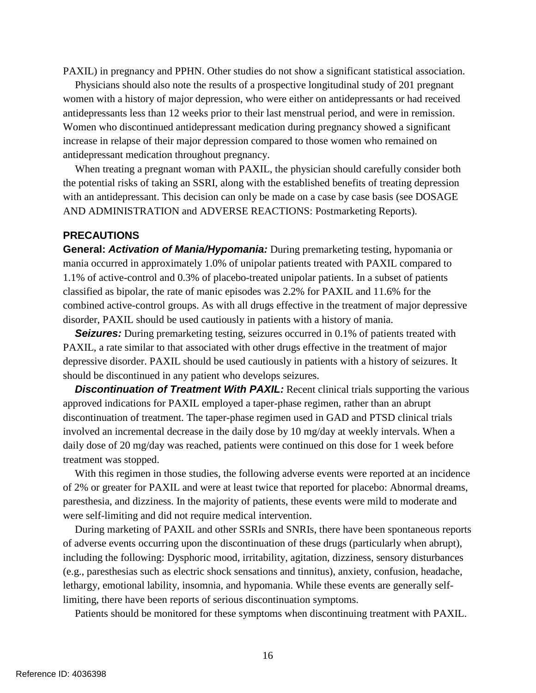PAXIL) in pregnancy and PPHN. Other studies do not show a significant statistical association. Physicians should also note the results of a prospective longitudinal study of 201 pregnant increase in relapse of their major depression compared to those women who remained on women with a history of major depression, who were either on antidepressants or had received antidepressants less than 12 weeks prior to their last menstrual period, and were in remission. Women who discontinued antidepressant medication during pregnancy showed a significant antidepressant medication throughout pregnancy.

When treating a pregnant woman with PAXIL, the physician should carefully consider both the potential risks of taking an SSRI, along with the established benefits of treating depression with an antidepressant. This decision can only be made on a case by case basis (see DOSAGE AND ADMINISTRATION and ADVERSE REACTIONS: Postmarketing Reports).

#### **PRECAUTIONS**

 combined active-control groups. As with all drugs effective in the treatment of major depressive **General:** *Activation of Mania/Hypomania:* During premarketing testing, hypomania or mania occurred in approximately 1.0% of unipolar patients treated with PAXIL compared to 1.1% of active-control and 0.3% of placebo-treated unipolar patients. In a subset of patients classified as bipolar, the rate of manic episodes was 2.2% for PAXIL and 11.6% for the disorder, PAXIL should be used cautiously in patients with a history of mania.

 PAXIL, a rate similar to that associated with other drugs effective in the treatment of major **Seizures:** During premarketing testing, seizures occurred in 0.1% of patients treated with depressive disorder. PAXIL should be used cautiously in patients with a history of seizures. It should be discontinued in any patient who develops seizures.

 approved indications for PAXIL employed a taper-phase regimen, rather than an abrupt involved an incremental decrease in the daily dose by 10 mg/day at weekly intervals. When a daily dose of 20 mg/day was reached, patients were continued on this dose for 1 week before **Discontinuation of Treatment With PAXIL:** Recent clinical trials supporting the various discontinuation of treatment. The taper-phase regimen used in GAD and PTSD clinical trials treatment was stopped.

 of 2% or greater for PAXIL and were at least twice that reported for placebo: Abnormal dreams, With this regimen in those studies, the following adverse events were reported at an incidence paresthesia, and dizziness. In the majority of patients, these events were mild to moderate and were self-limiting and did not require medical intervention.

During marketing of PAXIL and other SSRIs and SNRIs, there have been spontaneous reports of adverse events occurring upon the discontinuation of these drugs (particularly when abrupt), including the following: Dysphoric mood, irritability, agitation, dizziness, sensory disturbances (e.g., paresthesias such as electric shock sensations and tinnitus), anxiety, confusion, headache, lethargy, emotional lability, insomnia, and hypomania. While these events are generally selflimiting, there have been reports of serious discontinuation symptoms.

Patients should be monitored for these symptoms when discontinuing treatment with PAXIL.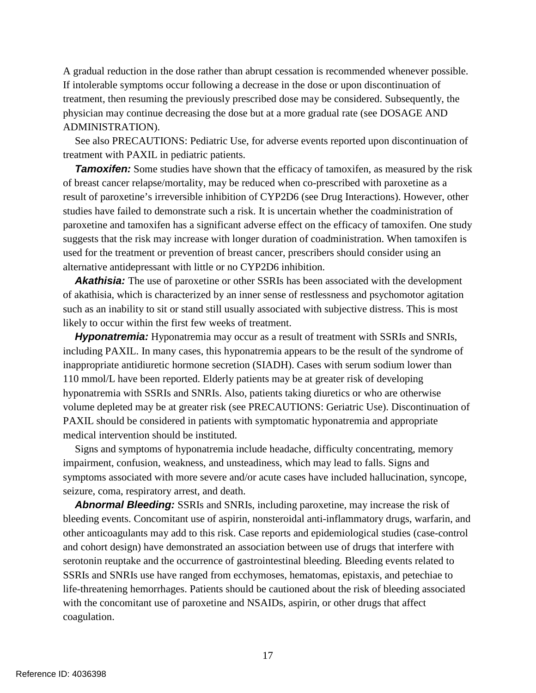physician may continue decreasing the dose but at a more gradual rate (see DOSAGE AND A gradual reduction in the dose rather than abrupt cessation is recommended whenever possible. If intolerable symptoms occur following a decrease in the dose or upon discontinuation of treatment, then resuming the previously prescribed dose may be considered. Subsequently, the ADMINISTRATION).

See also PRECAUTIONS: Pediatric Use, for adverse events reported upon discontinuation of treatment with PAXIL in pediatric patients.

 suggests that the risk may increase with longer duration of coadministration. When tamoxifen is **Tamoxifen:** Some studies have shown that the efficacy of tamoxifen, as measured by the risk of breast cancer relapse/mortality, may be reduced when co-prescribed with paroxetine as a result of paroxetine's irreversible inhibition of CYP2D6 (see Drug Interactions). However, other studies have failed to demonstrate such a risk. It is uncertain whether the coadministration of paroxetine and tamoxifen has a significant adverse effect on the efficacy of tamoxifen. One study used for the treatment or prevention of breast cancer, prescribers should consider using an alternative antidepressant with little or no CYP2D6 inhibition.

**Akathisia:** The use of paroxetine or other SSRIs has been associated with the development of akathisia, which is characterized by an inner sense of restlessness and psychomotor agitation such as an inability to sit or stand still usually associated with subjective distress. This is most likely to occur within the first few weeks of treatment.

 110 mmol/L have been reported. Elderly patients may be at greater risk of developing *Hyponatremia:* Hyponatremia may occur as a result of treatment with SSRIs and SNRIs, including PAXIL. In many cases, this hyponatremia appears to be the result of the syndrome of inappropriate antidiuretic hormone secretion (SIADH). Cases with serum sodium lower than hyponatremia with SSRIs and SNRIs. Also, patients taking diuretics or who are otherwise volume depleted may be at greater risk (see PRECAUTIONS: Geriatric Use). Discontinuation of PAXIL should be considered in patients with symptomatic hyponatremia and appropriate medical intervention should be instituted.

Signs and symptoms of hyponatremia include headache, difficulty concentrating, memory impairment, confusion, weakness, and unsteadiness, which may lead to falls. Signs and symptoms associated with more severe and/or acute cases have included hallucination, syncope, seizure, coma, respiratory arrest, and death.

 with the concomitant use of paroxetine and NSAIDs, aspirin, or other drugs that affect coagulation. *Abnormal Bleeding:* SSRIs and SNRIs, including paroxetine, may increase the risk of bleeding events. Concomitant use of aspirin, nonsteroidal anti-inflammatory drugs, warfarin, and other anticoagulants may add to this risk. Case reports and epidemiological studies (case-control and cohort design) have demonstrated an association between use of drugs that interfere with serotonin reuptake and the occurrence of gastrointestinal bleeding. Bleeding events related to SSRIs and SNRIs use have ranged from ecchymoses, hematomas, epistaxis, and petechiae to life-threatening hemorrhages. Patients should be cautioned about the risk of bleeding associated coagulation.<br>17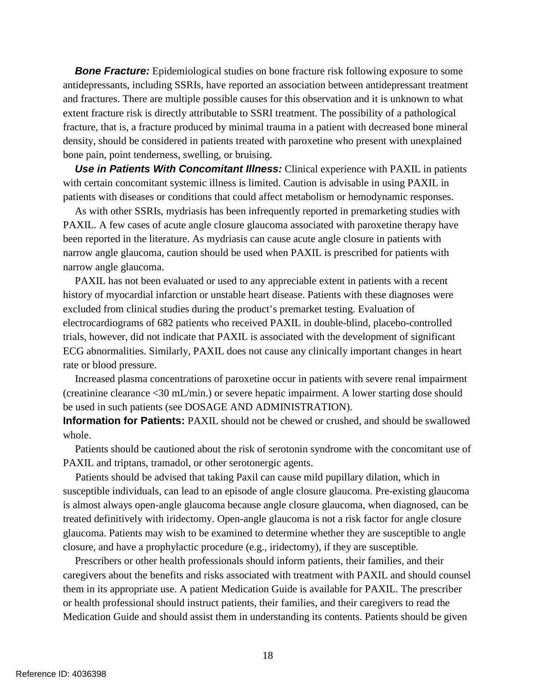and fractures. There are multiple possible causes for this observation and it is unknown to what **Bone Fracture:** Epidemiological studies on bone fracture risk following exposure to some antidepressants, including SSRIs, have reported an association between antidepressant treatment extent fracture risk is directly attributable to SSRI treatment. The possibility of a pathological fracture, that is, a fracture produced by minimal trauma in a patient with decreased bone mineral density, should be considered in patients treated with paroxetine who present with unexplained bone pain, point tenderness, swelling, or bruising.

*Use in Patients With Concomitant Illness:* Clinical experience with PAXIL in patients with certain concomitant systemic illness is limited. Caution is advisable in using PAXIL in patients with diseases or conditions that could affect metabolism or hemodynamic responses.

 narrow angle glaucoma, caution should be used when PAXIL is prescribed for patients with As with other SSRIs, mydriasis has been infrequently reported in premarketing studies with PAXIL. A few cases of acute angle closure glaucoma associated with paroxetine therapy have been reported in the literature. As mydriasis can cause acute angle closure in patients with narrow angle glaucoma.

PAXIL has not been evaluated or used to any appreciable extent in patients with a recent history of myocardial infarction or unstable heart disease. Patients with these diagnoses were excluded from clinical studies during the product's premarket testing. Evaluation of electrocardiograms of 682 patients who received PAXIL in double-blind, placebo-controlled trials, however, did not indicate that PAXIL is associated with the development of significant ECG abnormalities. Similarly, PAXIL does not cause any clinically important changes in heart rate or blood pressure.

Increased plasma concentrations of paroxetine occur in patients with severe renal impairment (creatinine clearance <30 mL/min.) or severe hepatic impairment. A lower starting dose should be used in such patients (see DOSAGE AND ADMINISTRATION).

**Information for Patients:** PAXIL should not be chewed or crushed, and should be swallowed whole.

Patients should be cautioned about the risk of serotonin syndrome with the concomitant use of PAXIL and triptans, tramadol, or other serotonergic agents.

 susceptible individuals, can lead to an episode of angle closure glaucoma. Pre-existing glaucoma closure, and have a prophylactic procedure (e.g., iridectomy), if they are susceptible. Patients should be advised that taking Paxil can cause mild pupillary dilation, which in is almost always open-angle glaucoma because angle closure glaucoma, when diagnosed, can be treated definitively with iridectomy. Open-angle glaucoma is not a risk factor for angle closure glaucoma. Patients may wish to be examined to determine whether they are susceptible to angle

Prescribers or other health professionals should inform patients, their families, and their caregivers about the benefits and risks associated with treatment with PAXIL and should counsel them in its appropriate use. A patient Medication Guide is available for PAXIL. The prescriber or health professional should instruct patients, their families, and their caregivers to read the Medication Guide and should assist them in understanding its contents. Patients should be given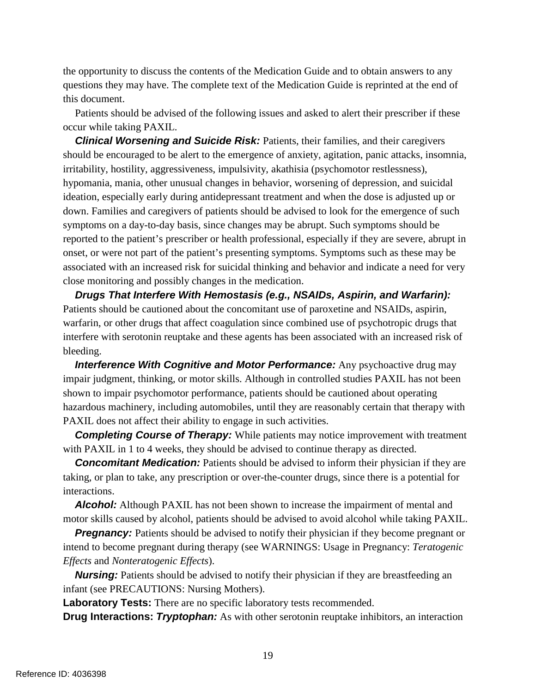the opportunity to discuss the contents of the Medication Guide and to obtain answers to any questions they may have. The complete text of the Medication Guide is reprinted at the end of this document.

Patients should be advised of the following issues and asked to alert their prescriber if these occur while taking PAXIL.

*Clinical Worsening and Suicide Risk:* Patients, their families, and their caregivers should be encouraged to be alert to the emergence of anxiety, agitation, panic attacks, insomnia, irritability, hostility, aggressiveness, impulsivity, akathisia (psychomotor restlessness), hypomania, mania, other unusual changes in behavior, worsening of depression, and suicidal ideation, especially early during antidepressant treatment and when the dose is adjusted up or down. Families and caregivers of patients should be advised to look for the emergence of such symptoms on a day-to-day basis, since changes may be abrupt. Such symptoms should be reported to the patient's prescriber or health professional, especially if they are severe, abrupt in onset, or were not part of the patient's presenting symptoms. Symptoms such as these may be associated with an increased risk for suicidal thinking and behavior and indicate a need for very close monitoring and possibly changes in the medication.

 *Drugs That Interfere With Hemostasis (e.g., NSAIDs, Aspirin, and Warfarin):*  Patients should be cautioned about the concomitant use of paroxetine and NSAIDs, aspirin, warfarin, or other drugs that affect coagulation since combined use of psychotropic drugs that interfere with serotonin reuptake and these agents has been associated with an increased risk of bleeding.

**Interference With Cognitive and Motor Performance:** Any psychoactive drug may impair judgment, thinking, or motor skills. Although in controlled studies PAXIL has not been shown to impair psychomotor performance, patients should be cautioned about operating hazardous machinery, including automobiles, until they are reasonably certain that therapy with PAXIL does not affect their ability to engage in such activities.

 with PAXIL in 1 to 4 weeks, they should be advised to continue therapy as directed. **Completing Course of Therapy:** While patients may notice improvement with treatment

**Concomitant Medication:** Patients should be advised to inform their physician if they are taking, or plan to take, any prescription or over-the-counter drugs, since there is a potential for interactions.

**Alcohol:** Although PAXIL has not been shown to increase the impairment of mental and motor skills caused by alcohol, patients should be advised to avoid alcohol while taking PAXIL.

**Pregnancy:** Patients should be advised to notify their physician if they become pregnant or intend to become pregnant during therapy (see WARNINGS: Usage in Pregnancy: *Teratogenic Effects* and *Nonteratogenic Effects*).

**Nursing:** Patients should be advised to notify their physician if they are breastfeeding an infant (see PRECAUTIONS: Nursing Mothers).

**Laboratory Tests:** There are no specific laboratory tests recommended.

**Drug Interactions: Tryptophan:** As with other serotonin reuptake inhibitors, an interaction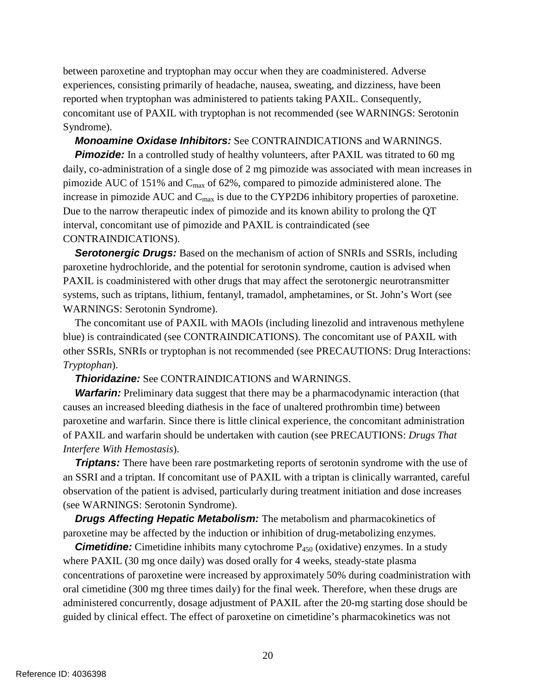between paroxetine and tryptophan may occur when they are coadministered. Adverse experiences, consisting primarily of headache, nausea, sweating, and dizziness, have been reported when tryptophan was administered to patients taking PAXIL. Consequently, concomitant use of PAXIL with tryptophan is not recommended (see WARNINGS: Serotonin Syndrome).

#### *Monoamine Oxidase Inhibitors:* See CONTRAINDICATIONS and WARNINGS.

**Pimozide:** In a controlled study of healthy volunteers, after PAXIL was titrated to 60 mg daily, co-administration of a single dose of 2 mg pimozide was associated with mean increases in pimozide AUC of 151% and  $C_{\text{max}}$  of 62%, compared to pimozide administered alone. The increase in pimozide AUC and  $C_{\text{max}}$  is due to the CYP2D6 inhibitory properties of paroxetine. Due to the narrow therapeutic index of pimozide and its known ability to prolong the QT interval, concomitant use of pimozide and PAXIL is contraindicated (see CONTRAINDICATIONS).

**Serotonergic Drugs:** Based on the mechanism of action of SNRIs and SSRIs, including paroxetine hydrochloride, and the potential for serotonin syndrome, caution is advised when PAXIL is coadministered with other drugs that may affect the serotonergic neurotransmitter systems, such as triptans, lithium, fentanyl, tramadol, amphetamines, or St. John's Wort (see WARNINGS: Serotonin Syndrome).

The concomitant use of PAXIL with MAOIs (including linezolid and intravenous methylene blue) is contraindicated (see CONTRAINDICATIONS). The concomitant use of PAXIL with other SSRIs, SNRIs or tryptophan is not recommended (see PRECAUTIONS: Drug Interactions: *Tryptophan*).

#### *Thioridazine:* See CONTRAINDICATIONS and WARNINGS.

**Warfarin:** Preliminary data suggest that there may be a pharmacodynamic interaction (that causes an increased bleeding diathesis in the face of unaltered prothrombin time) between paroxetine and warfarin. Since there is little clinical experience, the concomitant administration of PAXIL and warfarin should be undertaken with caution (see PRECAUTIONS: *Drugs That Interfere With Hemostasis*).

**Triptans:** There have been rare postmarketing reports of serotonin syndrome with the use of an SSRI and a triptan. If concomitant use of PAXIL with a triptan is clinically warranted, careful observation of the patient is advised, particularly during treatment initiation and dose increases (see WARNINGS: Serotonin Syndrome).

*Drugs Affecting Hepatic Metabolism:* The metabolism and pharmacokinetics of paroxetine may be affected by the induction or inhibition of drug-metabolizing enzymes.

 where PAXIL (30 mg once daily) was dosed orally for 4 weeks, steady-state plasma administered concurrently, dosage adjustment of PAXIL after the 20-mg starting dose should be *Cimetidine:* Cimetidine inhibits many cytochrome  $P_{450}$  (oxidative) enzymes. In a study concentrations of paroxetine were increased by approximately 50% during coadministration with oral cimetidine (300 mg three times daily) for the final week. Therefore, when these drugs are guided by clinical effect. The effect of paroxetine on cimetidine's pharmacokinetics was not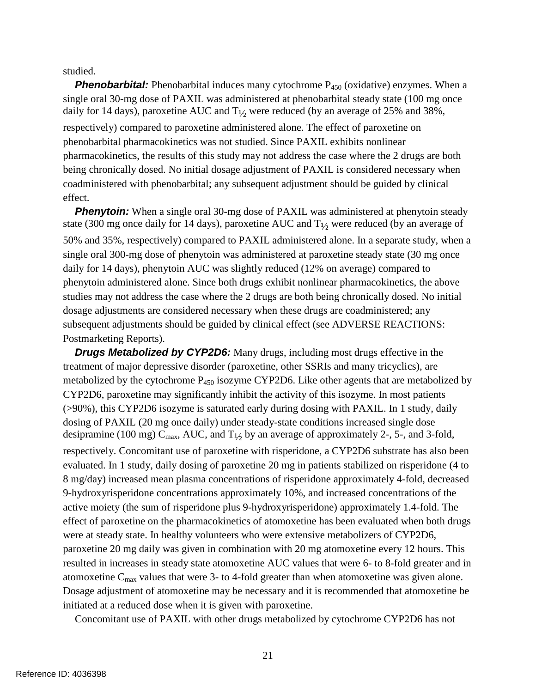studied.

daily for 14 days), paroxetine AUC and  $T_{\frac{1}{2}}$  were reduced (by an average of 25% and 38%, coadministered with phenobarbital; any subsequent adjustment should be guided by clinical **Phenobarbital:** Phenobarbital induces many cytochrome P<sub>450</sub> (oxidative) enzymes. When a single oral 30-mg dose of PAXIL was administered at phenobarbital steady state (100 mg once respectively) compared to paroxetine administered alone. The effect of paroxetine on phenobarbital pharmacokinetics was not studied. Since PAXIL exhibits nonlinear pharmacokinetics, the results of this study may not address the case where the 2 drugs are both being chronically dosed. No initial dosage adjustment of PAXIL is considered necessary when effect.

 single oral 300-mg dose of phenytoin was administered at paroxetine steady state (30 mg once **Phenytoin:** When a single oral 30-mg dose of PAXIL was administered at phenytoin steady state (300 mg once daily for 14 days), paroxetine AUC and  $T_{1/2}$  were reduced (by an average of 50% and 35%, respectively) compared to PAXIL administered alone. In a separate study, when a daily for 14 days), phenytoin AUC was slightly reduced (12% on average) compared to phenytoin administered alone. Since both drugs exhibit nonlinear pharmacokinetics, the above studies may not address the case where the 2 drugs are both being chronically dosed. No initial dosage adjustments are considered necessary when these drugs are coadministered; any subsequent adjustments should be guided by clinical effect (see ADVERSE REACTIONS: Postmarketing Reports).

*Drugs Metabolized by CYP2D6:* Many drugs, including most drugs effective in the treatment of major depressive disorder (paroxetine, other SSRIs and many tricyclics), are metabolized by the cytochrome  $P_{450}$  isozyme CYP2D6. Like other agents that are metabolized by CYP2D6, paroxetine may significantly inhibit the activity of this isozyme. In most patients (>90%), this CYP2D6 isozyme is saturated early during dosing with PAXIL. In 1 study, daily dosing of PAXIL (20 mg once daily) under steady-state conditions increased single dose desipramine (100 mg)  $C_{\text{max}}$ , AUC, and  $T_{1/2}$  by an average of approximately 2-, 5-, and 3-fold, respectively. Concomitant use of paroxetine with risperidone, a CYP2D6 substrate has also been evaluated. In 1 study, daily dosing of paroxetine 20 mg in patients stabilized on risperidone (4 to 8 mg/day) increased mean plasma concentrations of risperidone approximately 4-fold, decreased 9-hydroxyrisperidone concentrations approximately 10%, and increased concentrations of the active moiety (the sum of risperidone plus 9-hydroxyrisperidone) approximately 1.4-fold. The effect of paroxetine on the pharmacokinetics of atomoxetine has been evaluated when both drugs were at steady state. In healthy volunteers who were extensive metabolizers of CYP2D6, paroxetine 20 mg daily was given in combination with 20 mg atomoxetine every 12 hours. This resulted in increases in steady state atomoxetine AUC values that were 6- to 8-fold greater and in atomoxetine  $C_{\text{max}}$  values that were 3- to 4-fold greater than when atomoxetine was given alone. Dosage adjustment of atomoxetine may be necessary and it is recommended that atomoxetine be initiated at a reduced dose when it is given with paroxetine.

Concomitant use of PAXIL with other drugs metabolized by cytochrome CYP2D6 has not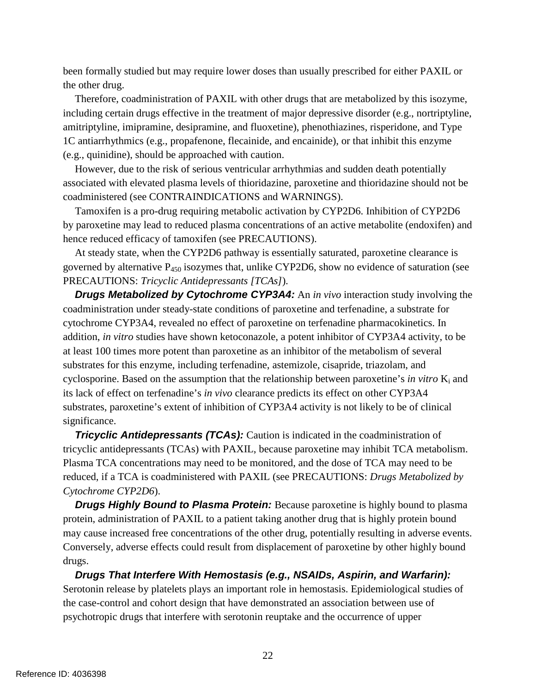been formally studied but may require lower doses than usually prescribed for either PAXIL or the other drug.

 Therefore, coadministration of PAXIL with other drugs that are metabolized by this isozyme, including certain drugs effective in the treatment of major depressive disorder (e.g., nortriptyline, amitriptyline, imipramine, desipramine, and fluoxetine), phenothiazines, risperidone, and Type 1C antiarrhythmics (e.g., propafenone, flecainide, and encainide), or that inhibit this enzyme (e.g., quinidine), should be approached with caution.

However, due to the risk of serious ventricular arrhythmias and sudden death potentially associated with elevated plasma levels of thioridazine, paroxetine and thioridazine should not be coadministered (see CONTRAINDICATIONS and WARNINGS).

 by paroxetine may lead to reduced plasma concentrations of an active metabolite (endoxifen) and Tamoxifen is a pro-drug requiring metabolic activation by CYP2D6. Inhibition of CYP2D6 hence reduced efficacy of tamoxifen (see PRECAUTIONS).

governed by alternative  $P_{450}$  isozymes that, unlike CYP2D6, show no evidence of saturation (see At steady state, when the CYP2D6 pathway is essentially saturated, paroxetine clearance is PRECAUTIONS: *Tricyclic Antidepressants [TCAs]*).

 coadministration under steady-state conditions of paroxetine and terfenadine, a substrate for addition, *in vitro* studies have shown ketoconazole, a potent inhibitor of CYP3A4 activity, to be cyclosporine. Based on the assumption that the relationship between paroxetine's *in vitro* K<sub>i</sub> and substrates, paroxetine's extent of inhibition of CYP3A4 activity is not likely to be of clinical *Drugs Metabolized by Cytochrome CYP3A4:* An *in vivo* interaction study involving the cytochrome CYP3A4, revealed no effect of paroxetine on terfenadine pharmacokinetics. In at least 100 times more potent than paroxetine as an inhibitor of the metabolism of several substrates for this enzyme, including terfenadine, astemizole, cisapride, triazolam, and its lack of effect on terfenadine's *in vivo* clearance predicts its effect on other CYP3A4 significance.

*Tricyclic Antidepressants (TCAs):* Caution is indicated in the coadministration of tricyclic antidepressants (TCAs) with PAXIL, because paroxetine may inhibit TCA metabolism. Plasma TCA concentrations may need to be monitored, and the dose of TCA may need to be reduced, if a TCA is coadministered with PAXIL (see PRECAUTIONS: *Drugs Metabolized by Cytochrome CYP2D6*).

*Drugs Highly Bound to Plasma Protein:* Because paroxetine is highly bound to plasma protein, administration of PAXIL to a patient taking another drug that is highly protein bound may cause increased free concentrations of the other drug, potentially resulting in adverse events. Conversely, adverse effects could result from displacement of paroxetine by other highly bound drugs.

 the case-control and cohort design that have demonstrated an association between use of *Drugs That Interfere With Hemostasis (e.g., NSAIDs, Aspirin, and Warfarin):*  Serotonin release by platelets plays an important role in hemostasis. Epidemiological studies of psychotropic drugs that interfere with serotonin reuptake and the occurrence of upper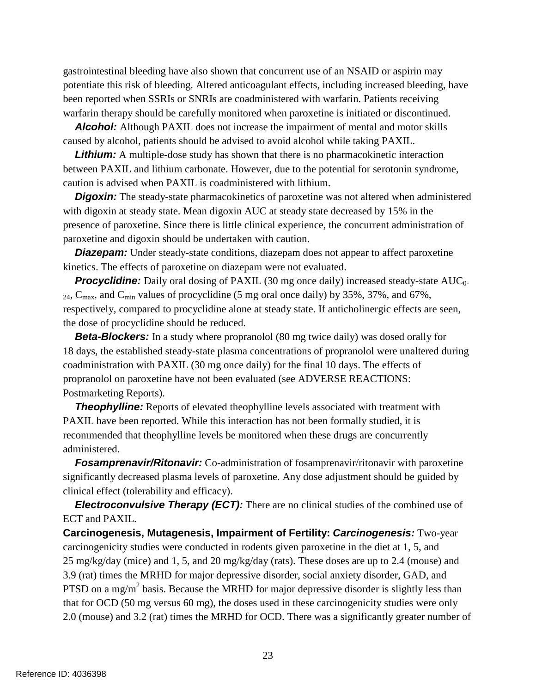gastrointestinal bleeding have also shown that concurrent use of an NSAID or aspirin may potentiate this risk of bleeding. Altered anticoagulant effects, including increased bleeding, have been reported when SSRIs or SNRIs are coadministered with warfarin. Patients receiving warfarin therapy should be carefully monitored when paroxetine is initiated or discontinued.

*Alcohol:* Although PAXIL does not increase the impairment of mental and motor skills caused by alcohol, patients should be advised to avoid alcohol while taking PAXIL.

 caution is advised when PAXIL is coadministered with lithium. **Lithium:** A multiple-dose study has shown that there is no pharmacokinetic interaction between PAXIL and lithium carbonate. However, due to the potential for serotonin syndrome,

*Digoxin:* The steady-state pharmacokinetics of paroxetine was not altered when administered with digoxin at steady state. Mean digoxin AUC at steady state decreased by 15% in the presence of paroxetine. Since there is little clinical experience, the concurrent administration of paroxetine and digoxin should be undertaken with caution.

**Diazepam:** Under steady-state conditions, diazepam does not appear to affect paroxetine kinetics. The effects of paroxetine on diazepam were not evaluated.

 $_{24}$ , C<sub>max</sub>, and C<sub>min</sub> values of procyclidine (5 mg oral once daily) by 35%, 37%, and 67%, **Procyclidine:** Daily oral dosing of PAXIL (30 mg once daily) increased steady-state AUC<sub>0</sub>. respectively, compared to procyclidine alone at steady state. If anticholinergic effects are seen, the dose of procyclidine should be reduced.

*Beta-Blockers:* In a study where propranolol (80 mg twice daily) was dosed orally for 18 days, the established steady-state plasma concentrations of propranolol were unaltered during coadministration with PAXIL (30 mg once daily) for the final 10 days. The effects of propranolol on paroxetine have not been evaluated (see ADVERSE REACTIONS: Postmarketing Reports).

**Theophylline:** Reports of elevated theophylline levels associated with treatment with PAXIL have been reported. While this interaction has not been formally studied, it is recommended that theophylline levels be monitored when these drugs are concurrently administered.

 clinical effect (tolerability and efficacy). *Fosamprenavir/Ritonavir:* Co-administration of fosamprenavir/ritonavir with paroxetine significantly decreased plasma levels of paroxetine. Any dose adjustment should be guided by

*Electroconvulsive Therapy (ECT):* There are no clinical studies of the combined use of ECT and PAXIL.

PTSD on a mg/m<sup>2</sup> basis. Because the MRHD for major depressive disorder is slightly less than **Carcinogenesis, Mutagenesis, Impairment of Fertility:** *Carcinogenesis:* Two-year carcinogenicity studies were conducted in rodents given paroxetine in the diet at 1, 5, and 25 mg/kg/day (mice) and 1, 5, and 20 mg/kg/day (rats). These doses are up to 2.4 (mouse) and 3.9 (rat) times the MRHD for major depressive disorder, social anxiety disorder, GAD, and that for OCD (50 mg versus 60 mg), the doses used in these carcinogenicity studies were only 2.0 (mouse) and 3.2 (rat) times the MRHD for OCD. There was a significantly greater number of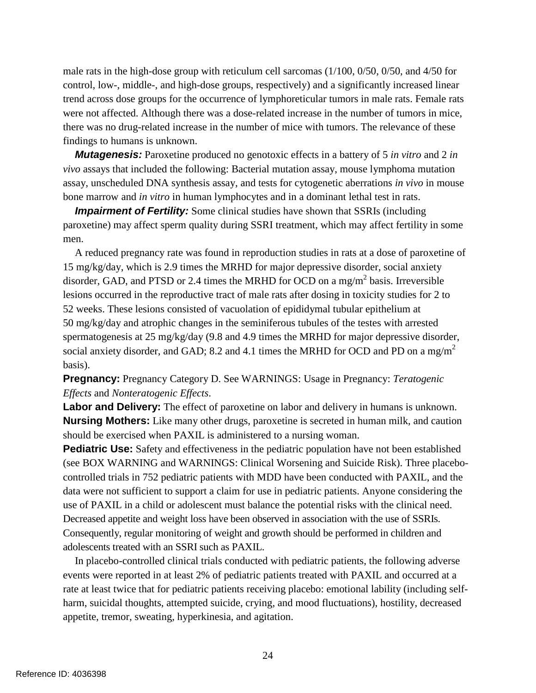trend across dose groups for the occurrence of lymphoreticular tumors in male rats. Female rats male rats in the high-dose group with reticulum cell sarcomas (1/100, 0/50, 0/50, and 4/50 for control, low-, middle-, and high-dose groups, respectively) and a significantly increased linear were not affected. Although there was a dose-related increase in the number of tumors in mice, there was no drug-related increase in the number of mice with tumors. The relevance of these findings to humans is unknown.

 assay, unscheduled DNA synthesis assay, and tests for cytogenetic aberrations *in vivo* in mouse bone marrow and *in vitro* in human lymphocytes and in a dominant lethal test in rats. *Mutagenesis:* Paroxetine produced no genotoxic effects in a battery of 5 *in vitro* and 2 *in vivo* assays that included the following: Bacterial mutation assay, mouse lymphoma mutation

**Impairment of Fertility:** Some clinical studies have shown that SSRIs (including paroxetine) may affect sperm quality during SSRI treatment, which may affect fertility in some men.

A reduced pregnancy rate was found in reproduction studies in rats at a dose of paroxetine of 15 mg/kg/day, which is 2.9 times the MRHD for major depressive disorder, social anxiety disorder, GAD, and PTSD or 2.4 times the MRHD for OCD on a mg/m<sup>2</sup> basis. Irreversible lesions occurred in the reproductive tract of male rats after dosing in toxicity studies for 2 to 52 weeks. These lesions consisted of vacuolation of epididymal tubular epithelium at 50 mg/kg/day and atrophic changes in the seminiferous tubules of the testes with arrested spermatogenesis at 25 mg/kg/day (9.8 and 4.9 times the MRHD for major depressive disorder, social anxiety disorder, and GAD; 8.2 and 4.1 times the MRHD for OCD and PD on a mg/m<sup>2</sup> basis).

 *Effects* and *Nonteratogenic Effects*. **Pregnancy:** Pregnancy Category D. See WARNINGS: Usage in Pregnancy: *Teratogenic* 

Labor and Delivery: The effect of paroxetine on labor and delivery in humans is unknown. **Nursing Mothers:** Like many other drugs, paroxetine is secreted in human milk, and caution should be exercised when PAXIL is administered to a nursing woman.

Pediatric Use: Safety and effectiveness in the pediatric population have not been established use of PAXIL in a child or adolescent must balance the potential risks with the clinical need. Decreased appetite and weight loss have been observed in association with the use of SSRIs. (see BOX WARNING and WARNINGS: Clinical Worsening and Suicide Risk). Three placebocontrolled trials in 752 pediatric patients with MDD have been conducted with PAXIL, and the data were not sufficient to support a claim for use in pediatric patients. Anyone considering the Consequently, regular monitoring of weight and growth should be performed in children and adolescents treated with an SSRI such as PAXIL.

In placebo-controlled clinical trials conducted with pediatric patients, the following adverse events were reported in at least 2% of pediatric patients treated with PAXIL and occurred at a rate at least twice that for pediatric patients receiving placebo: emotional lability (including selfharm, suicidal thoughts, attempted suicide, crying, and mood fluctuations), hostility, decreased appetite, tremor, sweating, hyperkinesia, and agitation.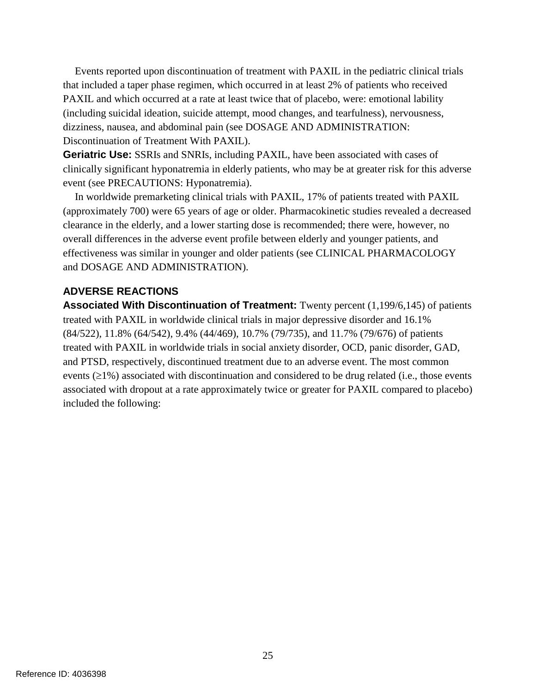Events reported upon discontinuation of treatment with PAXIL in the pediatric clinical trials that included a taper phase regimen, which occurred in at least 2% of patients who received PAXIL and which occurred at a rate at least twice that of placebo, were: emotional lability (including suicidal ideation, suicide attempt, mood changes, and tearfulness), nervousness, dizziness, nausea, and abdominal pain (see DOSAGE AND ADMINISTRATION: Discontinuation of Treatment With PAXIL).

**Geriatric Use:** SSRIs and SNRIs, including PAXIL, have been associated with cases of clinically significant hyponatremia in elderly patients, who may be at greater risk for this adverse event (see PRECAUTIONS: Hyponatremia).

 (approximately 700) were 65 years of age or older. Pharmacokinetic studies revealed a decreased In worldwide premarketing clinical trials with PAXIL, 17% of patients treated with PAXIL clearance in the elderly, and a lower starting dose is recommended; there were, however, no overall differences in the adverse event profile between elderly and younger patients, and effectiveness was similar in younger and older patients (see CLINICAL PHARMACOLOGY and DOSAGE AND ADMINISTRATION).

## **ADVERSE REACTIONS**

 events (≥1%) associated with discontinuation and considered to be drug related (i.e., those events associated with dropout at a rate approximately twice or greater for PAXIL compared to placebo) **Associated With Discontinuation of Treatment:** Twenty percent (1,199/6,145) of patients treated with PAXIL in worldwide clinical trials in major depressive disorder and 16.1% (84/522), 11.8% (64/542), 9.4% (44/469), 10.7% (79/735), and 11.7% (79/676) of patients treated with PAXIL in worldwide trials in social anxiety disorder, OCD, panic disorder, GAD, and PTSD, respectively, discontinued treatment due to an adverse event. The most common included the following: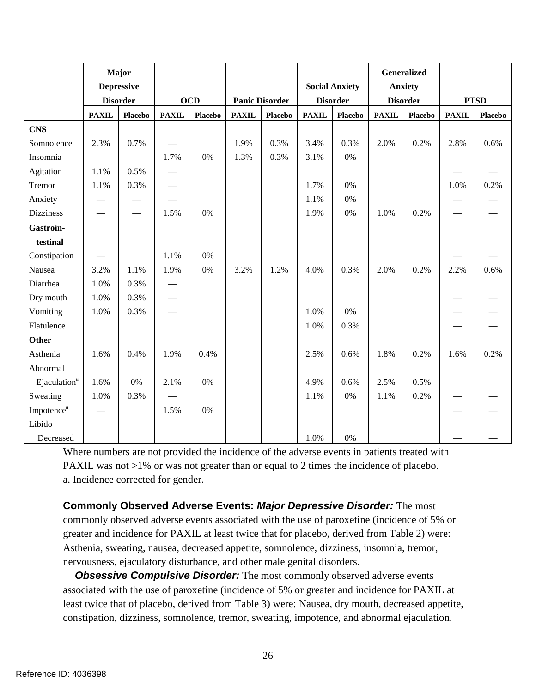|                          |              | Major<br><b>Depressive</b>    |              |                |              |                       |              | <b>Social Anxiety</b> |              | <b>Generalized</b><br><b>Anxiety</b> |              |                |
|--------------------------|--------------|-------------------------------|--------------|----------------|--------------|-----------------------|--------------|-----------------------|--------------|--------------------------------------|--------------|----------------|
|                          |              | <b>Disorder</b>               |              | <b>OCD</b>     |              | <b>Panic Disorder</b> |              | <b>Disorder</b>       |              | <b>Disorder</b>                      |              | <b>PTSD</b>    |
|                          | <b>PAXIL</b> | <b>Placebo</b>                | <b>PAXIL</b> | <b>Placebo</b> | <b>PAXIL</b> | <b>Placebo</b>        | <b>PAXIL</b> | <b>Placebo</b>        | <b>PAXIL</b> | <b>Placebo</b>                       | <b>PAXIL</b> | <b>Placebo</b> |
| <b>CNS</b>               |              |                               |              |                |              |                       |              |                       |              |                                      |              |                |
| Somnolence               | 2.3%         | 0.7%                          |              |                | 1.9%         | 0.3%                  | 3.4%         | 0.3%                  | 2.0%         | 0.2%                                 | 2.8%         | 0.6%           |
| Insomnia                 |              |                               | 1.7%         | $0\%$          | 1.3%         | 0.3%                  | 3.1%         | $0\%$                 |              |                                      |              |                |
| Agitation                | 1.1%         | 0.5%                          |              |                |              |                       |              |                       |              |                                      |              |                |
| Tremor                   | 1.1%         | 0.3%                          |              |                |              |                       | 1.7%         | $0\%$                 |              |                                      | 1.0%         | 0.2%           |
| Anxiety                  |              |                               |              |                |              |                       | 1.1%         | 0%                    |              |                                      |              |                |
| <b>Dizziness</b>         |              | $\overbrace{\phantom{12333}}$ | 1.5%         | 0%             |              |                       | 1.9%         | $0\%$                 | 1.0%         | 0.2%                                 |              |                |
| Gastroin-                |              |                               |              |                |              |                       |              |                       |              |                                      |              |                |
| testinal                 |              |                               |              |                |              |                       |              |                       |              |                                      |              |                |
| Constipation             |              |                               | 1.1%         | $0\%$          |              |                       |              |                       |              |                                      |              |                |
| Nausea                   | 3.2%         | 1.1%                          | 1.9%         | $0\%$          | 3.2%         | 1.2%                  | 4.0%         | 0.3%                  | 2.0%         | 0.2%                                 | 2.2%         | 0.6%           |
| Diarrhea                 | 1.0%         | 0.3%                          |              |                |              |                       |              |                       |              |                                      |              |                |
| Dry mouth                | 1.0%         | 0.3%                          |              |                |              |                       |              |                       |              |                                      |              |                |
| Vomiting                 | 1.0%         | 0.3%                          |              |                |              |                       | 1.0%         | 0%                    |              |                                      |              |                |
| Flatulence               |              |                               |              |                |              |                       | 1.0%         | 0.3%                  |              |                                      |              |                |
| <b>Other</b>             |              |                               |              |                |              |                       |              |                       |              |                                      |              |                |
| Asthenia                 | 1.6%         | 0.4%                          | 1.9%         | 0.4%           |              |                       | 2.5%         | 0.6%                  | 1.8%         | 0.2%                                 | 1.6%         | 0.2%           |
| Abnormal                 |              |                               |              |                |              |                       |              |                       |              |                                      |              |                |
| Ejaculation <sup>a</sup> | 1.6%         | 0%                            | 2.1%         | 0%             |              |                       | 4.9%         | 0.6%                  | 2.5%         | 0.5%                                 |              |                |
| Sweating                 | 1.0%         | 0.3%                          |              |                |              |                       | 1.1%         | $0\%$                 | 1.1%         | 0.2%                                 |              |                |
| Impotence <sup>a</sup>   |              |                               | 1.5%         | $0\%$          |              |                       |              |                       |              |                                      |              |                |
| Libido                   |              |                               |              |                |              |                       |              |                       |              |                                      |              |                |
| Decreased                |              |                               |              |                |              |                       | 1.0%         | 0%                    |              |                                      |              |                |

PAXIL was not >1% or was not greater than or equal to 2 times the incidence of placebo. Where numbers are not provided the incidence of the adverse events in patients treated with a. Incidence corrected for gender.

 greater and incidence for PAXIL at least twice that for placebo, derived from Table 2) were: **Commonly Observed Adverse Events:** *Major Depressive Disorder:* The most commonly observed adverse events associated with the use of paroxetine (incidence of 5% or Asthenia, sweating, nausea, decreased appetite, somnolence, dizziness, insomnia, tremor, nervousness, ejaculatory disturbance, and other male genital disorders.

 associated with the use of paroxetine (incidence of 5% or greater and incidence for PAXIL at least twice that of placebo, derived from Table 3) were: Nausea, dry mouth, decreased appetite, **Obsessive Compulsive Disorder:** The most commonly observed adverse events constipation, dizziness, somnolence, tremor, sweating, impotence, and abnormal ejaculation.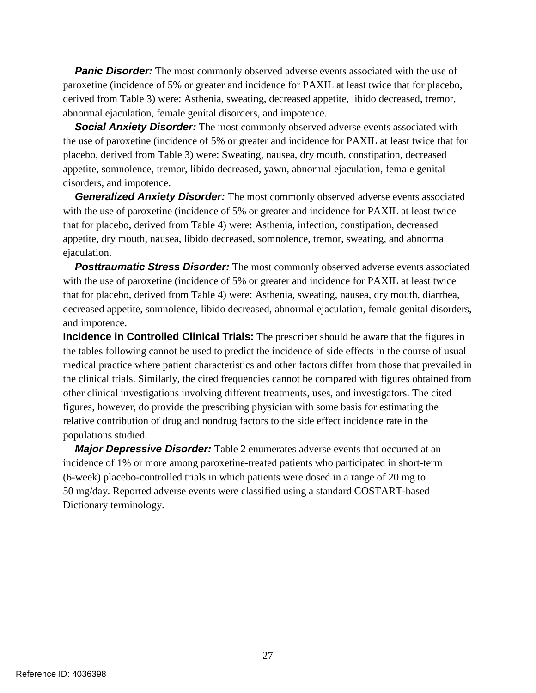paroxetine (incidence of 5% or greater and incidence for PAXIL at least twice that for placebo, **Panic Disorder:** The most commonly observed adverse events associated with the use of derived from Table 3) were: Asthenia, sweating, decreased appetite, libido decreased, tremor, abnormal ejaculation, female genital disorders, and impotence.

 the use of paroxetine (incidence of 5% or greater and incidence for PAXIL at least twice that for appetite, somnolence, tremor, libido decreased, yawn, abnormal ejaculation, female genital **Social Anxiety Disorder:** The most commonly observed adverse events associated with placebo, derived from Table 3) were: Sweating, nausea, dry mouth, constipation, decreased disorders, and impotence.

 that for placebo, derived from Table 4) were: Asthenia, infection, constipation, decreased *Generalized Anxiety Disorder:* The most commonly observed adverse events associated with the use of paroxetine (incidence of 5% or greater and incidence for PAXIL at least twice appetite, dry mouth, nausea, libido decreased, somnolence, tremor, sweating, and abnormal ejaculation.

*Posttraumatic Stress Disorder:* The most commonly observed adverse events associated with the use of paroxetine (incidence of 5% or greater and incidence for PAXIL at least twice that for placebo, derived from Table 4) were: Asthenia, sweating, nausea, dry mouth, diarrhea, decreased appetite, somnolence, libido decreased, abnormal ejaculation, female genital disorders, and impotence.

**Incidence in Controlled Clinical Trials:** The prescriber should be aware that the figures in the tables following cannot be used to predict the incidence of side effects in the course of usual medical practice where patient characteristics and other factors differ from those that prevailed in the clinical trials. Similarly, the cited frequencies cannot be compared with figures obtained from other clinical investigations involving different treatments, uses, and investigators. The cited figures, however, do provide the prescribing physician with some basis for estimating the relative contribution of drug and nondrug factors to the side effect incidence rate in the populations studied.

 *Major Depressive Disorder:* Table 2 enumerates adverse events that occurred at an incidence of 1% or more among paroxetine-treated patients who participated in short-term (6-week) placebo-controlled trials in which patients were dosed in a range of 20 mg to 50 mg/day. Reported adverse events were classified using a standard COSTART-based Dictionary terminology.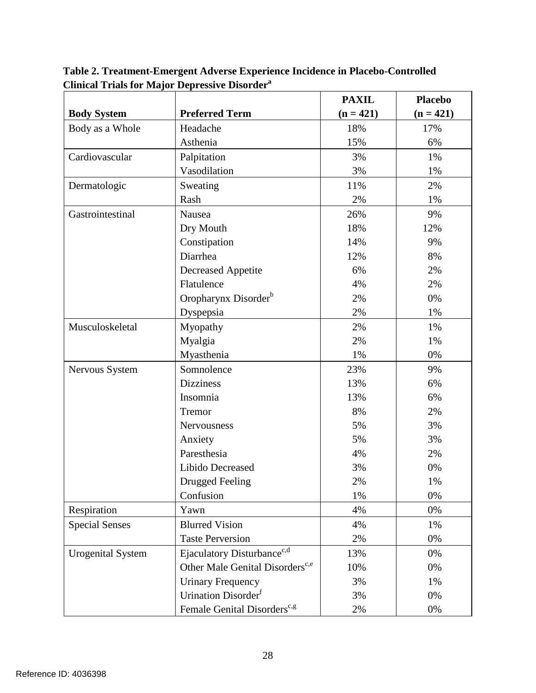|                          |                                             | <b>PAXIL</b> | <b>Placebo</b> |
|--------------------------|---------------------------------------------|--------------|----------------|
| <b>Body System</b>       | <b>Preferred Term</b>                       | $(n = 421)$  | $(n = 421)$    |
| Body as a Whole          | Headache                                    | 18%          | 17%            |
|                          | Asthenia                                    | 15%          | 6%             |
| Cardiovascular           | Palpitation                                 | 3%           | 1%             |
|                          | Vasodilation                                | 3%           | 1%             |
| Dermatologic             | Sweating                                    | 11%          | 2%             |
|                          | Rash                                        | 2%           | 1%             |
| Gastrointestinal         | Nausea                                      | 26%          | 9%             |
|                          | Dry Mouth                                   | 18%          | 12%            |
|                          | Constipation                                | 14%          | 9%             |
|                          | Diarrhea                                    | 12%          | 8%             |
|                          | <b>Decreased Appetite</b>                   | 6%           | 2%             |
|                          | Flatulence                                  | 4%           | 2%             |
|                          | Oropharynx Disorder <sup>b</sup>            | 2%           | 0%             |
|                          | Dyspepsia                                   | 2%           | 1%             |
| Musculoskeletal          | Myopathy                                    | 2%           | 1%             |
|                          | Myalgia                                     | 2%           | 1%             |
|                          | Myasthenia                                  | 1%           | 0%             |
| Nervous System           | Somnolence                                  | 23%          | 9%             |
|                          | <b>Dizziness</b>                            | 13%          | 6%             |
|                          | Insomnia                                    | 13%          | 6%             |
|                          | Tremor                                      | 8%           | 2%             |
|                          | Nervousness                                 | 5%           | 3%             |
|                          | Anxiety                                     | 5%           | 3%             |
|                          | Paresthesia                                 | 4%           | 2%             |
|                          | Libido Decreased                            | 3%           | 0%             |
|                          | Drugged Feeling                             | 2%           | 1%             |
|                          | Confusion                                   | 1%           | 0%             |
| Respiration              | Yawn                                        | 4%           | 0%             |
| <b>Special Senses</b>    | <b>Blurred Vision</b>                       | 4%           | 1%             |
|                          | <b>Taste Perversion</b>                     | 2%           | 0%             |
| <b>Urogenital System</b> | Ejaculatory Disturbance <sup>c,d</sup>      | 13%          | 0%             |
|                          | Other Male Genital Disorders <sup>c,e</sup> | 10%          | 0%             |
|                          | <b>Urinary Frequency</b>                    | 3%           | 1%             |
|                          | Urination Disorder <sup>f</sup>             | 3%           | 0%             |
|                          | Female Genital Disorders <sup>c,g</sup>     | 2%           | 0%             |

**Table 2. Treatment-Emergent Adverse Experience Incidence in Placebo-Controlled Clinical Trials for Major Depressive Disorder**<sup>a</sup>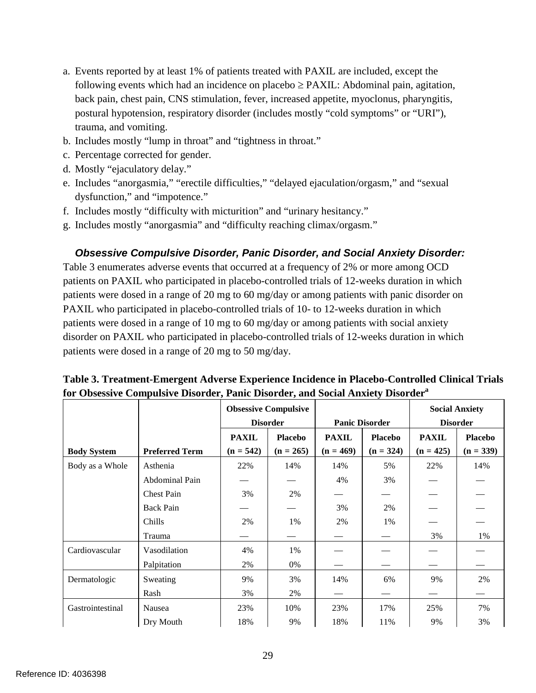- a. Events reported by at least 1% of patients treated with PAXIL are included, except the following events which had an incidence on placebo  $\geq$  PAXIL: Abdominal pain, agitation, back pain, chest pain, CNS stimulation, fever, increased appetite, myoclonus, pharyngitis, postural hypotension, respiratory disorder (includes mostly "cold symptoms" or "URI"), trauma, and vomiting.
- b. Includes mostly "lump in throat" and "tightness in throat."
- c. Percentage corrected for gender.
- d. Mostly "ejaculatory delay."
- dysfunction," and "impotence." e. Includes "anorgasmia," "erectile difficulties," "delayed ejaculation/orgasm," and "sexual
- f. Includes mostly "difficulty with micturition" and "urinary hesitancy."
- g. Includes mostly "anorgasmia" and "difficulty reaching climax/orgasm."

# *Obsessive Compulsive Disorder, Panic Disorder, and Social Anxiety Disorder:*

 patients were dosed in a range of 20 mg to 60 mg/day or among patients with panic disorder on patients were dosed in a range of 10 mg to 60 mg/day or among patients with social anxiety patients were dosed in a range of 20 mg to 50 mg/day. Table 3 enumerates adverse events that occurred at a frequency of 2% or more among OCD patients on PAXIL who participated in placebo-controlled trials of 12-weeks duration in which PAXIL who participated in placebo-controlled trials of 10- to 12-weeks duration in which disorder on PAXIL who participated in placebo-controlled trials of 12-weeks duration in which

|                    |                       | <b>Obsessive Compulsive</b> |                 |                       |                | <b>Social Anxiety</b> |                |
|--------------------|-----------------------|-----------------------------|-----------------|-----------------------|----------------|-----------------------|----------------|
|                    |                       |                             | <b>Disorder</b> | <b>Panic Disorder</b> |                | <b>Disorder</b>       |                |
|                    |                       | <b>PAXIL</b>                | <b>Placebo</b>  | <b>PAXIL</b>          | <b>Placebo</b> | <b>PAXIL</b>          | <b>Placebo</b> |
| <b>Body System</b> | <b>Preferred Term</b> | $(n = 542)$                 | $(n = 265)$     | $(n = 469)$           | $(n = 324)$    | $(n = 425)$           | $(n = 339)$    |
| Body as a Whole    | Asthenia              | 22%                         | 14%             | 14%                   | 5%             | 22%                   | 14%            |
|                    | Abdominal Pain        |                             |                 | 4%                    | 3%             |                       |                |
|                    | <b>Chest Pain</b>     | 3%                          | 2%              |                       |                |                       |                |
|                    | <b>Back Pain</b>      |                             |                 | 3%                    | 2%             |                       |                |
|                    | Chills                | 2%                          | 1%              | 2%                    | 1%             |                       |                |
|                    | Trauma                |                             |                 |                       |                | 3%                    | 1%             |
| Cardiovascular     | Vasodilation          | 4%                          | 1%              |                       |                |                       |                |
|                    | Palpitation           | 2%                          | 0%              |                       |                |                       |                |
| Dermatologic       | Sweating              | 9%                          | 3%              | 14%                   | 6%             | 9%                    | 2%             |
|                    | Rash                  | 3%                          | 2%              |                       |                |                       |                |
| Gastrointestinal   | Nausea                | 23%                         | 10%             | 23%                   | 17%            | 25%                   | 7%             |
|                    | Dry Mouth             | 18%                         | 9%              | 18%                   | 11%            | 9%                    | 3%             |

**Table 3. Treatment-Emergent Adverse Experience Incidence in Placebo-Controlled Clinical Trials for Obsessive Compulsive Disorder, Panic Disorder, and Social Anxiety Disordera**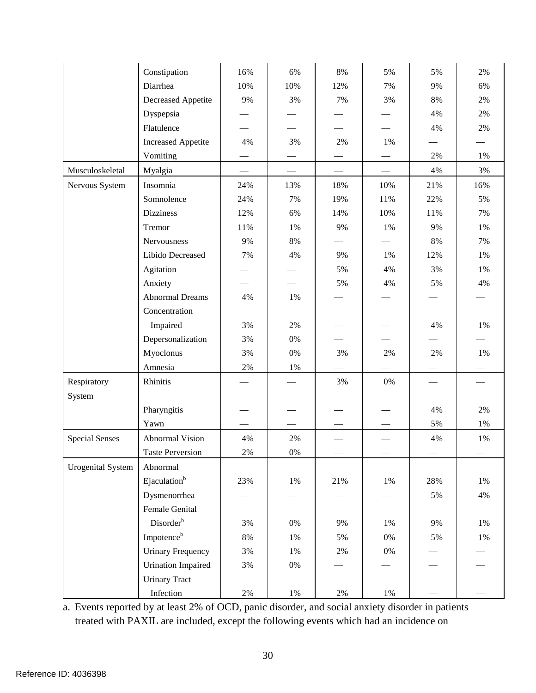|                          | Constipation              | 16%   | 6%    | $8\%$                       | 5%    | 5%    | 2%    |
|--------------------------|---------------------------|-------|-------|-----------------------------|-------|-------|-------|
|                          | Diarrhea                  | 10%   | 10%   | 12%                         | 7%    | 9%    | 6%    |
|                          | <b>Decreased Appetite</b> | 9%    | 3%    | 7%                          | 3%    | 8%    | 2%    |
|                          | Dyspepsia                 |       |       |                             |       | 4%    | $2\%$ |
|                          | Flatulence                |       |       |                             |       | 4%    | $2\%$ |
|                          | <b>Increased Appetite</b> | 4%    | 3%    | 2%                          | 1%    |       |       |
|                          | Vomiting                  |       |       |                             |       | $2\%$ | $1\%$ |
| Musculoskeletal          | Myalgia                   |       |       |                             |       | 4%    | 3%    |
| Nervous System           | Insomnia                  | 24%   | 13%   | 18%                         | 10%   | 21%   | 16%   |
|                          | Somnolence                | 24%   | 7%    | 19%                         | 11%   | 22%   | 5%    |
|                          | <b>Dizziness</b>          | 12%   | 6%    | 14%                         | 10%   | 11%   | 7%    |
|                          | Tremor                    | 11%   | 1%    | 9%                          | $1\%$ | 9%    | $1\%$ |
|                          | Nervousness               | 9%    | $8\%$ |                             |       | $8\%$ | 7%    |
|                          | Libido Decreased          | 7%    | 4%    | 9%                          | 1%    | 12%   | $1\%$ |
|                          | Agitation                 |       |       | 5%                          | 4%    | 3%    | $1\%$ |
|                          | Anxiety                   |       |       | 5%                          | 4%    | 5%    | 4%    |
|                          | <b>Abnormal Dreams</b>    | 4%    | 1%    |                             |       |       |       |
|                          | Concentration             |       |       |                             |       |       |       |
|                          | Impaired                  | 3%    | $2\%$ |                             |       | 4%    | $1\%$ |
|                          | Depersonalization         | 3%    | $0\%$ |                             |       |       |       |
|                          | Myoclonus                 | 3%    | $0\%$ | 3%                          | $2\%$ | $2\%$ | 1%    |
|                          | Amnesia                   | $2\%$ | 1%    | $\overbrace{\hspace{15em}}$ |       |       |       |
| Respiratory              | Rhinitis                  |       |       | 3%                          | $0\%$ |       |       |
| System                   |                           |       |       |                             |       |       |       |
|                          | Pharyngitis               |       |       |                             |       | 4%    | 2%    |
|                          | Yawn                      |       |       |                             |       | 5%    | 1%    |
| <b>Special Senses</b>    | Abnormal Vision           | 4%    | $2\%$ |                             |       | 4%    | 1%    |
|                          | <b>Taste Perversion</b>   | $2\%$ | $0\%$ |                             |       |       |       |
| <b>Urogenital System</b> | Abnormal                  |       |       |                             |       |       |       |
|                          | Ejaculation <sup>b</sup>  | 23%   | $1\%$ | 21%                         | $1\%$ | 28%   | $1\%$ |
|                          | Dysmenorrhea              |       |       |                             |       | 5%    | 4%    |
|                          | Female Genital            |       |       |                             |       |       |       |
|                          | Disorder <sup>b</sup>     | 3%    | $0\%$ | 9%                          | $1\%$ | 9%    | $1\%$ |
|                          | Impotence <sup>b</sup>    | 8%    | $1\%$ | 5%                          | $0\%$ | 5%    | $1\%$ |
|                          | <b>Urinary Frequency</b>  | 3%    | $1\%$ | $2\%$                       | $0\%$ |       |       |
|                          | <b>Urination Impaired</b> | 3%    | $0\%$ |                             |       |       |       |
|                          | <b>Urinary Tract</b>      |       |       |                             |       |       |       |
|                          | Infection                 | 2%    | $1\%$ | $2\%$                       | $1\%$ |       |       |

a. Events reported by at least 2% of OCD, panic disorder, and social anxiety disorder in patients treated with PAXIL are included, except the following events which had an incidence on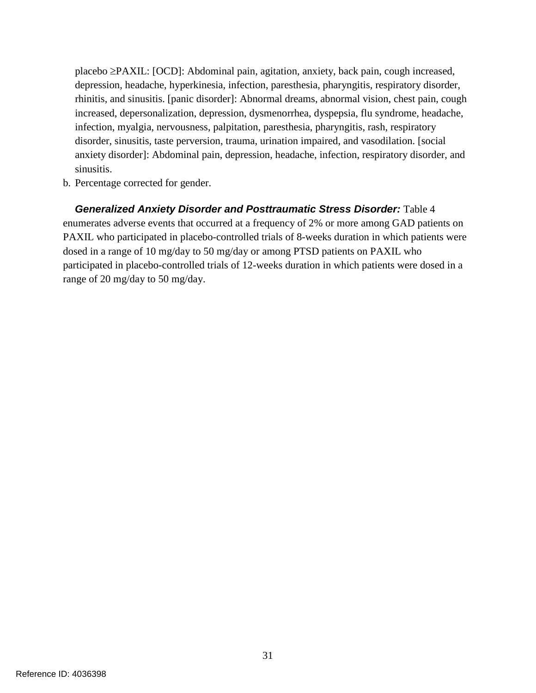placebo ≥PAXIL: [OCD]: Abdominal pain, agitation, anxiety, back pain, cough increased, depression, headache, hyperkinesia, infection, paresthesia, pharyngitis, respiratory disorder, rhinitis, and sinusitis. [panic disorder]: Abnormal dreams, abnormal vision, chest pain, cough increased, depersonalization, depression, dysmenorrhea, dyspepsia, flu syndrome, headache, infection, myalgia, nervousness, palpitation, paresthesia, pharyngitis, rash, respiratory disorder, sinusitis, taste perversion, trauma, urination impaired, and vasodilation. [social anxiety disorder]: Abdominal pain, depression, headache, infection, respiratory disorder, and sinusitis.

b. Percentage corrected for gender.

*Generalized Anxiety Disorder and Posttraumatic Stress Disorder:* Table 4 enumerates adverse events that occurred at a frequency of 2% or more among GAD patients on PAXIL who participated in placebo-controlled trials of 8-weeks duration in which patients were dosed in a range of 10 mg/day to 50 mg/day or among PTSD patients on PAXIL who participated in placebo-controlled trials of 12-weeks duration in which patients were dosed in a range of 20 mg/day to 50 mg/day.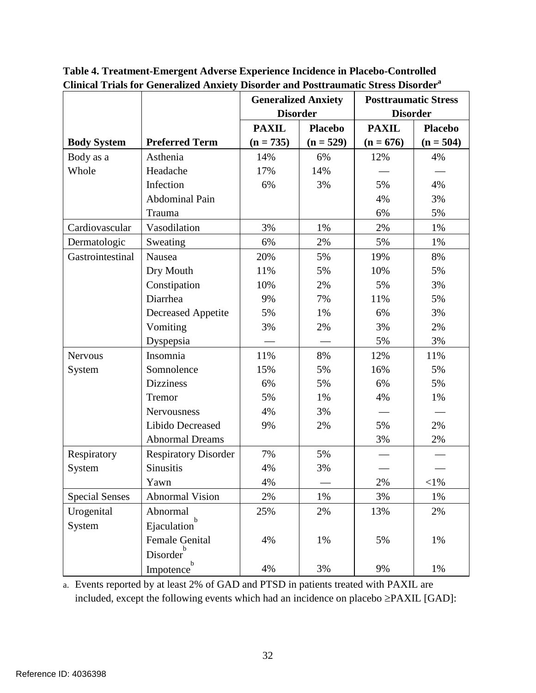|                       |                           | <b>Generalized Anxiety</b> |                | <b>Posttraumatic Stress</b> |                |
|-----------------------|---------------------------|----------------------------|----------------|-----------------------------|----------------|
|                       |                           | <b>Disorder</b>            |                | <b>Disorder</b>             |                |
|                       |                           | <b>PAXIL</b>               | <b>Placebo</b> | <b>PAXIL</b>                | <b>Placebo</b> |
| <b>Body System</b>    | <b>Preferred Term</b>     | $(n = 735)$                | $(n = 529)$    | $(n = 676)$                 | $(n = 504)$    |
| Body as a             | Asthenia                  | 14%                        | 6%             | 12%                         | 4%             |
| Whole                 | Headache                  | 17%                        | 14%            |                             |                |
|                       | Infection                 | 6%                         | 3%             | 5%                          | 4%             |
|                       | <b>Abdominal Pain</b>     |                            |                | 4%                          | 3%             |
|                       | Trauma                    |                            |                | 6%                          | 5%             |
| Cardiovascular        | Vasodilation              | 3%                         | 1%             | 2%                          | 1%             |
| Dermatologic          | Sweating                  | 6%                         | 2%             | 5%                          | 1%             |
| Gastrointestinal      | Nausea                    | 20%                        | 5%             | 19%                         | 8%             |
|                       | Dry Mouth                 | 11%                        | 5%             | 10%                         | 5%             |
|                       | Constipation              | 10%                        | 2%             | 5%                          | 3%             |
|                       | Diarrhea                  | 9%                         | 7%             | 11%                         | 5%             |
|                       | <b>Decreased Appetite</b> | 5%                         | 1%             | 6%                          | 3%             |
|                       | Vomiting                  | 3%                         | 2%             | 3%                          | 2%             |
|                       | Dyspepsia                 |                            |                | 5%                          | 3%             |
| Nervous               | Insomnia                  | 11%                        | 8%             | 12%                         | 11%            |
| System                | Somnolence                | 15%                        | 5%             | 16%                         | 5%             |
|                       | <b>Dizziness</b>          | 6%                         | 5%             | 6%                          | 5%             |
|                       | Tremor                    | 5%                         | 1%             | 4%                          | 1%             |
|                       | Nervousness               | 4%                         | 3%             |                             |                |
|                       | Libido Decreased          | 9%                         | 2%             | 5%                          | 2%             |
|                       | <b>Abnormal Dreams</b>    |                            |                | 3%                          | 2%             |
| Respiratory           | Respiratory Disorder      | 7%                         | 5%             |                             |                |
| System                | <b>Sinusitis</b>          | 4%                         | 3%             |                             |                |
|                       | Yawn                      | 4%                         |                | $2\%$                       | $<\!\!1\%$     |
| <b>Special Senses</b> | <b>Abnormal Vision</b>    | 2%                         | 1%             | 3%                          | 1%             |
| Urogenital            | Abnormal                  | 25%                        | 2%             | 13%                         | 2%             |
| System                | b<br>Ejaculation          |                            |                |                             |                |
|                       | <b>Female Genital</b>     | 4%                         | 1%             | 5%                          | 1%             |
|                       | Disorder                  |                            |                |                             |                |
|                       | b<br>Impotence            | 4%                         | 3%             | 9%                          | 1%             |

**Table 4. Treatment-Emergent Adverse Experience Incidence in Placebo-Controlled Clinical Trials for Generalized Anxiety Disorder and Posttraumatic Stress Disordera**

a. Events reported by at least 2% of GAD and PTSD in patients treated with PAXIL are included, except the following events which had an incidence on placebo ≥PAXIL [GAD]: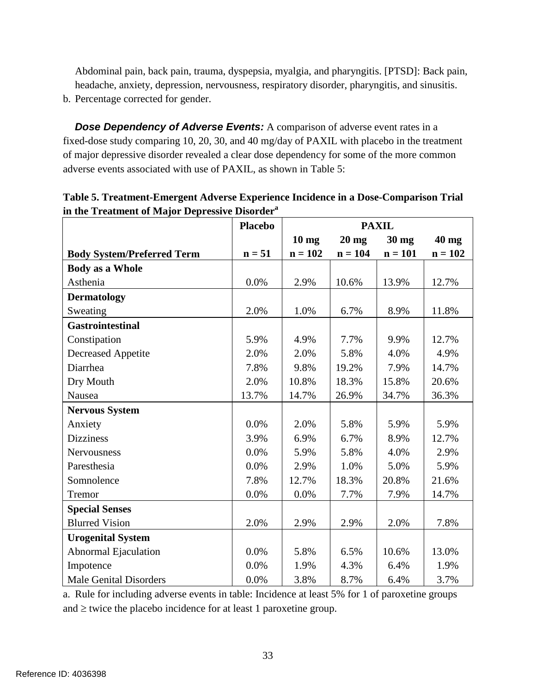Abdominal pain, back pain, trauma, dyspepsia, myalgia, and pharyngitis. [PTSD]: Back pain, headache, anxiety, depression, nervousness, respiratory disorder, pharyngitis, and sinusitis.

b. Percentage corrected for gender.

**Dose Dependency of Adverse Events:** A comparison of adverse event rates in a fixed-dose study comparing 10, 20, 30, and 40 mg/day of PAXIL with placebo in the treatment of major depressive disorder revealed a clear dose dependency for some of the more common adverse events associated with use of PAXIL, as shown in Table 5:

|                                   | <b>Placebo</b> | <b>PAXIL</b>     |           |                 |           |
|-----------------------------------|----------------|------------------|-----------|-----------------|-----------|
|                                   |                | 10 <sub>mg</sub> | $20$ mg   | $30 \text{ mg}$ | 40 mg     |
| <b>Body System/Preferred Term</b> | $n = 51$       | $n = 102$        | $n = 104$ | $n = 101$       | $n = 102$ |
| <b>Body as a Whole</b>            |                |                  |           |                 |           |
| Asthenia                          | 0.0%           | 2.9%             | 10.6%     | 13.9%           | 12.7%     |
| <b>Dermatology</b>                |                |                  |           |                 |           |
| Sweating                          | 2.0%           | 1.0%             | 6.7%      | 8.9%            | 11.8%     |
| <b>Gastrointestinal</b>           |                |                  |           |                 |           |
| Constipation                      | 5.9%           | 4.9%             | 7.7%      | 9.9%            | 12.7%     |
| <b>Decreased Appetite</b>         | 2.0%           | 2.0%             | 5.8%      | 4.0%            | 4.9%      |
| Diarrhea                          | 7.8%           | 9.8%             | 19.2%     | 7.9%            | 14.7%     |
| Dry Mouth                         | 2.0%           | 10.8%            | 18.3%     | 15.8%           | 20.6%     |
| Nausea                            | 13.7%          | 14.7%            | 26.9%     | 34.7%           | 36.3%     |
| <b>Nervous System</b>             |                |                  |           |                 |           |
| Anxiety                           | 0.0%           | 2.0%             | 5.8%      | 5.9%            | 5.9%      |
| <b>Dizziness</b>                  | 3.9%           | 6.9%             | 6.7%      | 8.9%            | 12.7%     |
| Nervousness                       | 0.0%           | 5.9%             | 5.8%      | 4.0%            | 2.9%      |
| Paresthesia                       | 0.0%           | 2.9%             | 1.0%      | 5.0%            | 5.9%      |
| Somnolence                        | 7.8%           | 12.7%            | 18.3%     | 20.8%           | 21.6%     |
| Tremor                            | 0.0%           | 0.0%             | 7.7%      | 7.9%            | 14.7%     |
| <b>Special Senses</b>             |                |                  |           |                 |           |
| <b>Blurred Vision</b>             | 2.0%           | 2.9%             | 2.9%      | 2.0%            | 7.8%      |
| <b>Urogenital System</b>          |                |                  |           |                 |           |
| Abnormal Ejaculation              | 0.0%           | 5.8%             | 6.5%      | 10.6%           | 13.0%     |
| Impotence                         | 0.0%           | 1.9%             | 4.3%      | 6.4%            | 1.9%      |
| <b>Male Genital Disorders</b>     | 0.0%           | 3.8%             | 8.7%      | 6.4%            | 3.7%      |

**Table 5. Treatment-Emergent Adverse Experience Incidence in a Dose-Comparison Trial in the Treatment of Major Depressive Disorder<sup>a</sup>**

a. Rule for including adverse events in table: Incidence at least 5% for 1 of paroxetine groups and ≥ twice the placebo incidence for at least 1 paroxetine group.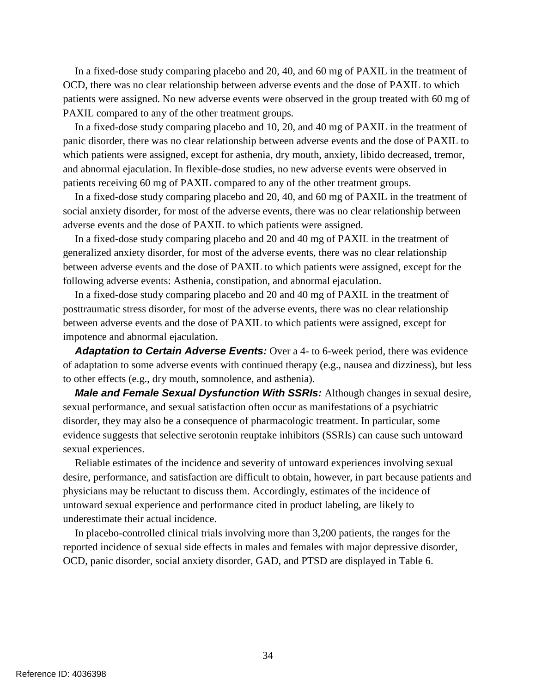PAXIL compared to any of the other treatment groups. In a fixed-dose study comparing placebo and 20, 40, and 60 mg of PAXIL in the treatment of OCD, there was no clear relationship between adverse events and the dose of PAXIL to which patients were assigned. No new adverse events were observed in the group treated with 60 mg of

 patients receiving 60 mg of PAXIL compared to any of the other treatment groups. In a fixed-dose study comparing placebo and 10, 20, and 40 mg of PAXIL in the treatment of panic disorder, there was no clear relationship between adverse events and the dose of PAXIL to which patients were assigned, except for asthenia, dry mouth, anxiety, libido decreased, tremor, and abnormal ejaculation. In flexible-dose studies, no new adverse events were observed in

In a fixed-dose study comparing placebo and 20, 40, and 60 mg of PAXIL in the treatment of social anxiety disorder, for most of the adverse events, there was no clear relationship between adverse events and the dose of PAXIL to which patients were assigned.

In a fixed-dose study comparing placebo and 20 and 40 mg of PAXIL in the treatment of generalized anxiety disorder, for most of the adverse events, there was no clear relationship between adverse events and the dose of PAXIL to which patients were assigned, except for the following adverse events: Asthenia, constipation, and abnormal ejaculation.

 between adverse events and the dose of PAXIL to which patients were assigned, except for In a fixed-dose study comparing placebo and 20 and 40 mg of PAXIL in the treatment of posttraumatic stress disorder, for most of the adverse events, there was no clear relationship impotence and abnormal ejaculation.

 *Adaptation to Certain Adverse Events:* Over a 4- to 6-week period, there was evidence of adaptation to some adverse events with continued therapy (e.g., nausea and dizziness), but less to other effects (e.g., dry mouth, somnolence, and asthenia).

**Male and Female Sexual Dysfunction With SSRIs:** Although changes in sexual desire, sexual performance, and sexual satisfaction often occur as manifestations of a psychiatric disorder, they may also be a consequence of pharmacologic treatment. In particular, some evidence suggests that selective serotonin reuptake inhibitors (SSRIs) can cause such untoward sexual experiences.

Reliable estimates of the incidence and severity of untoward experiences involving sexual desire, performance, and satisfaction are difficult to obtain, however, in part because patients and physicians may be reluctant to discuss them. Accordingly, estimates of the incidence of untoward sexual experience and performance cited in product labeling, are likely to underestimate their actual incidence.

 reported incidence of sexual side effects in males and females with major depressive disorder, OCD, panic disorder, social anxiety disorder, GAD, and PTSD are displayed in Table 6. In placebo-controlled clinical trials involving more than 3,200 patients, the ranges for the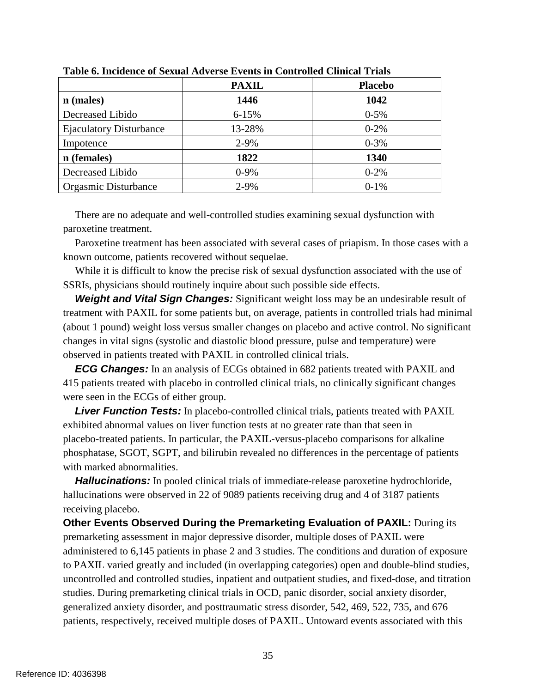|                                | <b>PAXIL</b> | <b>Placebo</b> |
|--------------------------------|--------------|----------------|
| n (males)                      | 1446         | 1042           |
| Decreased Libido               | $6 - 15%$    | $0 - 5\%$      |
| <b>Ejaculatory Disturbance</b> | 13-28%       | $0 - 2%$       |
| Impotence                      | $2 - 9%$     | $0 - 3\%$      |
| n (females)                    | 1822         | 1340           |
| Decreased Libido               | $0 - 9%$     | $0 - 2\%$      |
| Orgasmic Disturbance           | 2-9%         | $0-1%$         |

**Table 6. Incidence of Sexual Adverse Events in Controlled Clinical Trials** 

There are no adequate and well-controlled studies examining sexual dysfunction with paroxetine treatment.

Paroxetine treatment has been associated with several cases of priapism. In those cases with a known outcome, patients recovered without sequelae.

While it is difficult to know the precise risk of sexual dysfunction associated with the use of SSRIs, physicians should routinely inquire about such possible side effects.

**Weight and Vital Sign Changes:** Significant weight loss may be an undesirable result of treatment with PAXIL for some patients but, on average, patients in controlled trials had minimal (about 1 pound) weight loss versus smaller changes on placebo and active control. No significant changes in vital signs (systolic and diastolic blood pressure, pulse and temperature) were observed in patients treated with PAXIL in controlled clinical trials.

 were seen in the ECGs of either group. *ECG Changes:* In an analysis of ECGs obtained in 682 patients treated with PAXIL and 415 patients treated with placebo in controlled clinical trials, no clinically significant changes

**Liver Function Tests:** In placebo-controlled clinical trials, patients treated with PAXIL exhibited abnormal values on liver function tests at no greater rate than that seen in placebo-treated patients. In particular, the PAXIL-versus-placebo comparisons for alkaline phosphatase, SGOT, SGPT, and bilirubin revealed no differences in the percentage of patients with marked abnormalities.

 hallucinations were observed in 22 of 9089 patients receiving drug and 4 of 3187 patients **Hallucinations:** In pooled clinical trials of immediate-release paroxetine hydrochloride, receiving placebo.

 generalized anxiety disorder, and posttraumatic stress disorder, 542, 469, 522, 735, and 676 **Other Events Observed During the Premarketing Evaluation of PAXIL:** During its premarketing assessment in major depressive disorder, multiple doses of PAXIL were administered to 6,145 patients in phase 2 and 3 studies. The conditions and duration of exposure to PAXIL varied greatly and included (in overlapping categories) open and double-blind studies, uncontrolled and controlled studies, inpatient and outpatient studies, and fixed-dose, and titration studies. During premarketing clinical trials in OCD, panic disorder, social anxiety disorder, patients, respectively, received multiple doses of PAXIL. Untoward events associated with this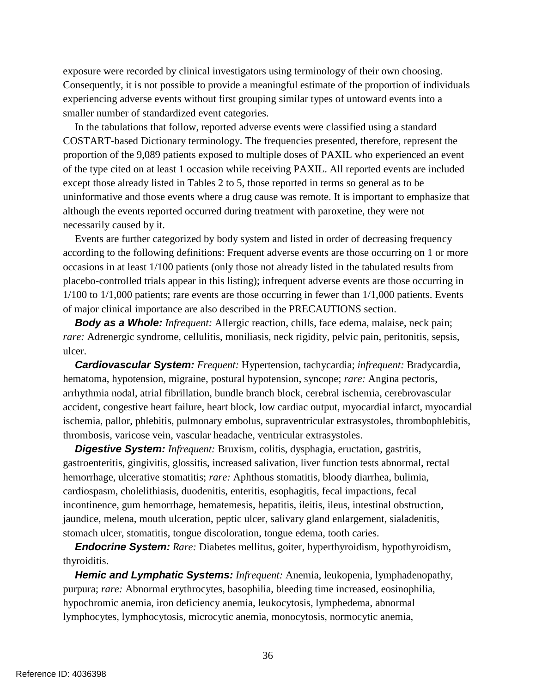exposure were recorded by clinical investigators using terminology of their own choosing. Consequently, it is not possible to provide a meaningful estimate of the proportion of individuals experiencing adverse events without first grouping similar types of untoward events into a smaller number of standardized event categories.

 proportion of the 9,089 patients exposed to multiple doses of PAXIL who experienced an event although the events reported occurred during treatment with paroxetine, they were not In the tabulations that follow, reported adverse events were classified using a standard COSTART-based Dictionary terminology. The frequencies presented, therefore, represent the of the type cited on at least 1 occasion while receiving PAXIL. All reported events are included except those already listed in Tables 2 to 5, those reported in terms so general as to be uninformative and those events where a drug cause was remote. It is important to emphasize that necessarily caused by it.

 Events are further categorized by body system and listed in order of decreasing frequency according to the following definitions: Frequent adverse events are those occurring on 1 or more occasions in at least 1/100 patients (only those not already listed in the tabulated results from placebo-controlled trials appear in this listing); infrequent adverse events are those occurring in 1/100 to 1/1,000 patients; rare events are those occurring in fewer than 1/1,000 patients. Events of major clinical importance are also described in the PRECAUTIONS section.

*Body as a Whole: Infrequent:* Allergic reaction, chills, face edema, malaise, neck pain; *rare:* Adrenergic syndrome, cellulitis, moniliasis, neck rigidity, pelvic pain, peritonitis, sepsis, ulcer.

 *Cardiovascular System: Frequent:* Hypertension, tachycardia; *infrequent:* Bradycardia, hematoma, hypotension, migraine, postural hypotension, syncope; *rare:* Angina pectoris, arrhythmia nodal, atrial fibrillation, bundle branch block, cerebral ischemia, cerebrovascular accident, congestive heart failure, heart block, low cardiac output, myocardial infarct, myocardial ischemia, pallor, phlebitis, pulmonary embolus, supraventricular extrasystoles, thrombophlebitis, thrombosis, varicose vein, vascular headache, ventricular extrasystoles.

 hemorrhage, ulcerative stomatitis; *rare:* Aphthous stomatitis, bloody diarrhea, bulimia, cardiospasm, cholelithiasis, duodenitis, enteritis, esophagitis, fecal impactions, fecal incontinence, gum hemorrhage, hematemesis, hepatitis, ileitis, ileus, intestinal obstruction, *Digestive System: Infrequent:* Bruxism, colitis, dysphagia, eructation, gastritis, gastroenteritis, gingivitis, glossitis, increased salivation, liver function tests abnormal, rectal jaundice, melena, mouth ulceration, peptic ulcer, salivary gland enlargement, sialadenitis, stomach ulcer, stomatitis, tongue discoloration, tongue edema, tooth caries.

 *Endocrine System: Rare:* Diabetes mellitus, goiter, hyperthyroidism, hypothyroidism, thyroiditis.

 *Hemic and Lymphatic Systems: Infrequent:* Anemia, leukopenia, lymphadenopathy, purpura; *rare:* Abnormal erythrocytes, basophilia, bleeding time increased, eosinophilia, hypochromic anemia, iron deficiency anemia, leukocytosis, lymphedema, abnormal lymphocytes, lymphocytosis, microcytic anemia, monocytosis, normocytic anemia,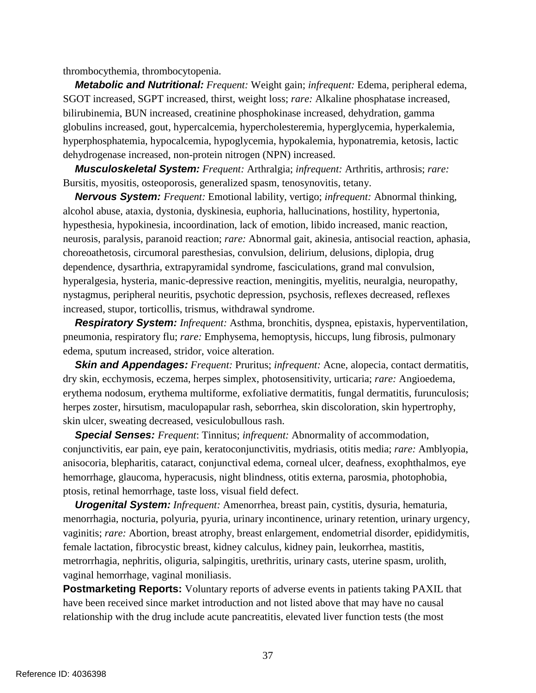thrombocythemia, thrombocytopenia.

 *Metabolic and Nutritional: Frequent:* Weight gain; *infrequent:* Edema, peripheral edema, SGOT increased, SGPT increased, thirst, weight loss; *rare:* Alkaline phosphatase increased, bilirubinemia, BUN increased, creatinine phosphokinase increased, dehydration, gamma globulins increased, gout, hypercalcemia, hypercholesteremia, hyperglycemia, hyperkalemia, hyperphosphatemia, hypocalcemia, hypoglycemia, hypokalemia, hyponatremia, ketosis, lactic dehydrogenase increased, non-protein nitrogen (NPN) increased.

 *Musculoskeletal System: Frequent:* Arthralgia; *infrequent:* Arthritis, arthrosis; *rare:*  Bursitis, myositis, osteoporosis, generalized spasm, tenosynovitis, tetany.

 alcohol abuse, ataxia, dystonia, dyskinesia, euphoria, hallucinations, hostility, hypertonia, neurosis, paralysis, paranoid reaction; *rare:* Abnormal gait, akinesia, antisocial reaction, aphasia, *Nervous System: Frequent:* Emotional lability, vertigo; *infrequent:* Abnormal thinking, hypesthesia, hypokinesia, incoordination, lack of emotion, libido increased, manic reaction, choreoathetosis, circumoral paresthesias, convulsion, delirium, delusions, diplopia, drug dependence, dysarthria, extrapyramidal syndrome, fasciculations, grand mal convulsion, hyperalgesia, hysteria, manic-depressive reaction, meningitis, myelitis, neuralgia, neuropathy, nystagmus, peripheral neuritis, psychotic depression, psychosis, reflexes decreased, reflexes increased, stupor, torticollis, trismus, withdrawal syndrome.

 pneumonia, respiratory flu; *rare:* Emphysema, hemoptysis, hiccups, lung fibrosis, pulmonary *Respiratory System: Infrequent:* Asthma, bronchitis, dyspnea, epistaxis, hyperventilation, edema, sputum increased, stridor, voice alteration.

*Skin and Appendages: Frequent: Pruritus; infrequent: Acne, alopecia, contact dermatitis,* dry skin, ecchymosis, eczema, herpes simplex, photosensitivity, urticaria; *rare:* Angioedema, erythema nodosum, erythema multiforme, exfoliative dermatitis, fungal dermatitis, furunculosis; herpes zoster, hirsutism, maculopapular rash, seborrhea, skin discoloration, skin hypertrophy, skin ulcer, sweating decreased, vesiculobullous rash.

*Special Senses: Frequent*: Tinnitus; *infrequent:* Abnormality of accommodation, conjunctivitis, ear pain, eye pain, keratoconjunctivitis, mydriasis, otitis media; *rare:* Amblyopia, anisocoria, blepharitis, cataract, conjunctival edema, corneal ulcer, deafness, exophthalmos, eye hemorrhage, glaucoma, hyperacusis, night blindness, otitis externa, parosmia, photophobia, ptosis, retinal hemorrhage, taste loss, visual field defect.

 *Urogenital System: Infrequent:* Amenorrhea, breast pain, cystitis, dysuria, hematuria, menorrhagia, nocturia, polyuria, pyuria, urinary incontinence, urinary retention, urinary urgency, vaginitis; *rare:* Abortion, breast atrophy, breast enlargement, endometrial disorder, epididymitis, female lactation, fibrocystic breast, kidney calculus, kidney pain, leukorrhea, mastitis, metrorrhagia, nephritis, oliguria, salpingitis, urethritis, urinary casts, uterine spasm, urolith, vaginal hemorrhage, vaginal moniliasis.

 **Postmarketing Reports:** Voluntary reports of adverse events in patients taking PAXIL that have been received since market introduction and not listed above that may have no causal relationship with the drug include acute pancreatitis, elevated liver function tests (the most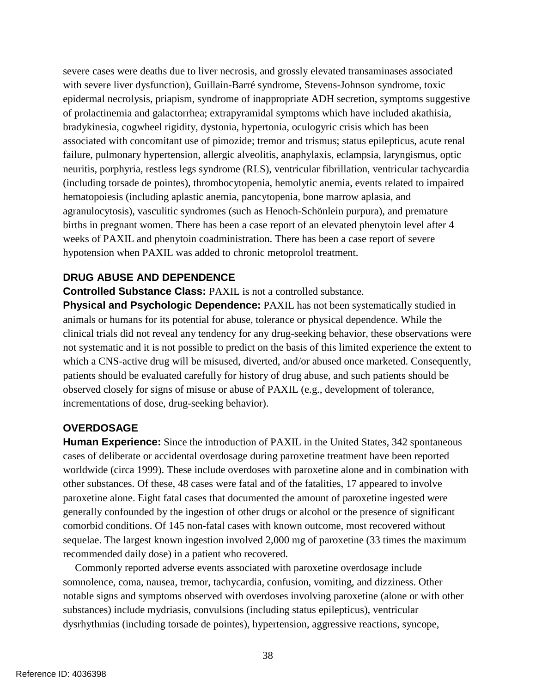severe cases were deaths due to liver necrosis, and grossly elevated transaminases associated neuritis, porphyria, restless legs syndrome (RLS), ventricular fibrillation, ventricular tachycardia with severe liver dysfunction), Guillain-Barré syndrome, Stevens-Johnson syndrome, toxic epidermal necrolysis, priapism, syndrome of inappropriate ADH secretion, symptoms suggestive of prolactinemia and galactorrhea; extrapyramidal symptoms which have included akathisia, bradykinesia, cogwheel rigidity, dystonia, hypertonia, oculogyric crisis which has been associated with concomitant use of pimozide; tremor and trismus; status epilepticus, acute renal failure, pulmonary hypertension, allergic alveolitis, anaphylaxis, eclampsia, laryngismus, optic (including torsade de pointes), thrombocytopenia, hemolytic anemia, events related to impaired hematopoiesis (including aplastic anemia, pancytopenia, bone marrow aplasia, and agranulocytosis), vasculitic syndromes (such as Henoch-Schönlein purpura), and premature births in pregnant women. There has been a case report of an elevated phenytoin level after 4 weeks of PAXIL and phenytoin coadministration. There has been a case report of severe hypotension when PAXIL was added to chronic metoprolol treatment.

#### **DRUG ABUSE AND DEPENDENCE**

**Controlled Substance Class:** PAXIL is not a controlled substance.

**Physical and Psychologic Dependence:** PAXIL has not been systematically studied in animals or humans for its potential for abuse, tolerance or physical dependence. While the clinical trials did not reveal any tendency for any drug-seeking behavior, these observations were not systematic and it is not possible to predict on the basis of this limited experience the extent to which a CNS-active drug will be misused, diverted, and/or abused once marketed. Consequently, patients should be evaluated carefully for history of drug abuse, and such patients should be observed closely for signs of misuse or abuse of PAXIL (e.g., development of tolerance, incrementations of dose, drug-seeking behavior).

## **OVERDOSAGE**

**Human Experience:** Since the introduction of PAXIL in the United States, 342 spontaneous cases of deliberate or accidental overdosage during paroxetine treatment have been reported worldwide (circa 1999). These include overdoses with paroxetine alone and in combination with other substances. Of these, 48 cases were fatal and of the fatalities, 17 appeared to involve paroxetine alone. Eight fatal cases that documented the amount of paroxetine ingested were generally confounded by the ingestion of other drugs or alcohol or the presence of significant comorbid conditions. Of 145 non-fatal cases with known outcome, most recovered without sequelae. The largest known ingestion involved 2,000 mg of paroxetine (33 times the maximum recommended daily dose) in a patient who recovered.

 Commonly reported adverse events associated with paroxetine overdosage include somnolence, coma, nausea, tremor, tachycardia, confusion, vomiting, and dizziness. Other notable signs and symptoms observed with overdoses involving paroxetine (alone or with other substances) include mydriasis, convulsions (including status epilepticus), ventricular dysrhythmias (including torsade de pointes), hypertension, aggressive reactions, syncope,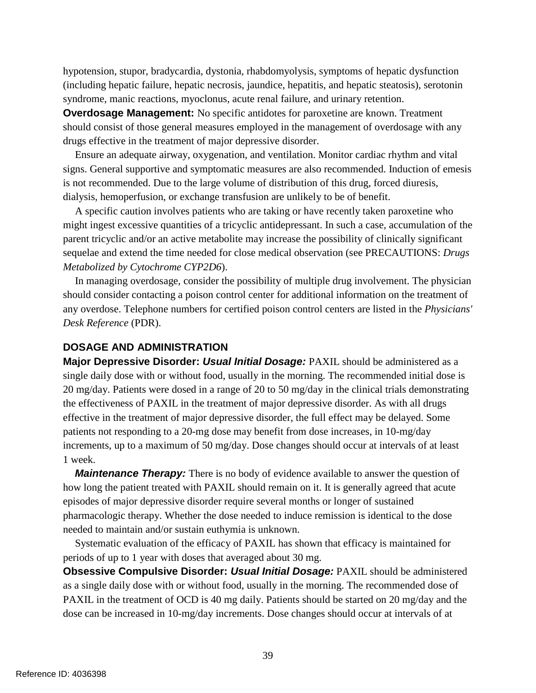syndrome, manic reactions, myoclonus, acute renal failure, and urinary retention. hypotension, stupor, bradycardia, dystonia, rhabdomyolysis, symptoms of hepatic dysfunction (including hepatic failure, hepatic necrosis, jaundice, hepatitis, and hepatic steatosis), serotonin

 should consist of those general measures employed in the management of overdosage with any **Overdosage Management:** No specific antidotes for paroxetine are known. Treatment drugs effective in the treatment of major depressive disorder.

dialysis, hemoperfusion, or exchange transfusion are unlikely to be of benefit. Ensure an adequate airway, oxygenation, and ventilation. Monitor cardiac rhythm and vital signs. General supportive and symptomatic measures are also recommended. Induction of emesis is not recommended. Due to the large volume of distribution of this drug, forced diuresis,

A specific caution involves patients who are taking or have recently taken paroxetine who might ingest excessive quantities of a tricyclic antidepressant. In such a case, accumulation of the parent tricyclic and/or an active metabolite may increase the possibility of clinically significant sequelae and extend the time needed for close medical observation (see PRECAUTIONS: *Drugs Metabolized by Cytochrome CYP2D6*).

 *Desk Reference* (PDR). In managing overdosage, consider the possibility of multiple drug involvement. The physician should consider contacting a poison control center for additional information on the treatment of any overdose. Telephone numbers for certified poison control centers are listed in the *Physicians'* 

#### **DOSAGE AND ADMINISTRATION**

 **Major Depressive Disorder:** *Usual Initial Dosage:* PAXIL should be administered as a 1 week. single daily dose with or without food, usually in the morning. The recommended initial dose is 20 mg/day. Patients were dosed in a range of 20 to 50 mg/day in the clinical trials demonstrating the effectiveness of PAXIL in the treatment of major depressive disorder. As with all drugs effective in the treatment of major depressive disorder, the full effect may be delayed. Some patients not responding to a 20-mg dose may benefit from dose increases, in 10-mg/day increments, up to a maximum of 50 mg/day. Dose changes should occur at intervals of at least

 *Maintenance Therapy:* There is no body of evidence available to answer the question of how long the patient treated with PAXIL should remain on it. It is generally agreed that acute episodes of major depressive disorder require several months or longer of sustained pharmacologic therapy. Whether the dose needed to induce remission is identical to the dose needed to maintain and/or sustain euthymia is unknown.

 periods of up to 1 year with doses that averaged about 30 mg. Systematic evaluation of the efficacy of PAXIL has shown that efficacy is maintained for

**Obsessive Compulsive Disorder:** *Usual Initial Dosage:* PAXIL should be administered as a single daily dose with or without food, usually in the morning. The recommended dose of PAXIL in the treatment of OCD is 40 mg daily. Patients should be started on 20 mg/day and the dose can be increased in 10-mg/day increments. Dose changes should occur at intervals of at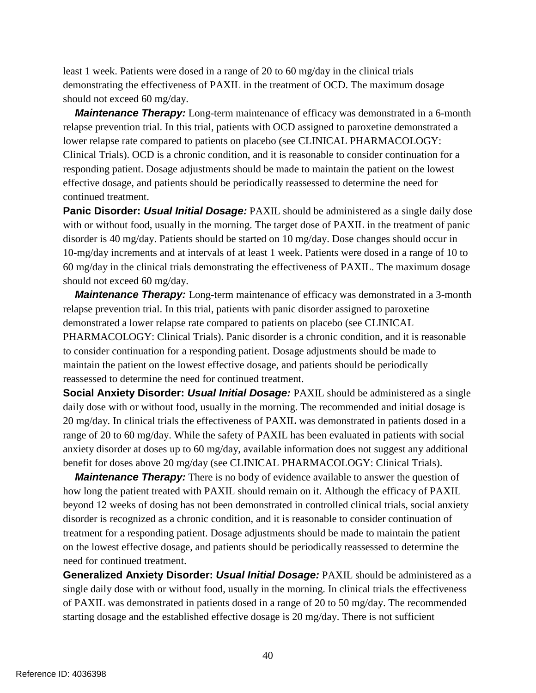should not exceed 60 mg/day. least 1 week. Patients were dosed in a range of 20 to 60 mg/day in the clinical trials demonstrating the effectiveness of PAXIL in the treatment of OCD. The maximum dosage

*Maintenance Therapy:* Long-term maintenance of efficacy was demonstrated in a 6-month relapse prevention trial. In this trial, patients with OCD assigned to paroxetine demonstrated a lower relapse rate compared to patients on placebo (see CLINICAL PHARMACOLOGY: Clinical Trials). OCD is a chronic condition, and it is reasonable to consider continuation for a responding patient. Dosage adjustments should be made to maintain the patient on the lowest effective dosage, and patients should be periodically reassessed to determine the need for continued treatment.

 should not exceed 60 mg/day. **Panic Disorder: Usual Initial Dosage:** PAXIL should be administered as a single daily dose with or without food, usually in the morning. The target dose of PAXIL in the treatment of panic disorder is 40 mg/day. Patients should be started on 10 mg/day. Dose changes should occur in 10-mg/day increments and at intervals of at least 1 week. Patients were dosed in a range of 10 to 60 mg/day in the clinical trials demonstrating the effectiveness of PAXIL. The maximum dosage

*Maintenance Therapy:* Long-term maintenance of efficacy was demonstrated in a 3-month relapse prevention trial. In this trial, patients with panic disorder assigned to paroxetine demonstrated a lower relapse rate compared to patients on placebo (see CLINICAL PHARMACOLOGY: Clinical Trials). Panic disorder is a chronic condition, and it is reasonable to consider continuation for a responding patient. Dosage adjustments should be made to maintain the patient on the lowest effective dosage, and patients should be periodically reassessed to determine the need for continued treatment.

 20 mg/day. In clinical trials the effectiveness of PAXIL was demonstrated in patients dosed in a anxiety disorder at doses up to 60 mg/day, available information does not suggest any additional **Social Anxiety Disorder:** *Usual Initial Dosage:* PAXIL should be administered as a single daily dose with or without food, usually in the morning. The recommended and initial dosage is range of 20 to 60 mg/day. While the safety of PAXIL has been evaluated in patients with social benefit for doses above 20 mg/day (see CLINICAL PHARMACOLOGY: Clinical Trials).

*Maintenance Therapy:* There is no body of evidence available to answer the question of how long the patient treated with PAXIL should remain on it. Although the efficacy of PAXIL beyond 12 weeks of dosing has not been demonstrated in controlled clinical trials, social anxiety disorder is recognized as a chronic condition, and it is reasonable to consider continuation of treatment for a responding patient. Dosage adjustments should be made to maintain the patient on the lowest effective dosage, and patients should be periodically reassessed to determine the need for continued treatment.

 **Generalized Anxiety Disorder:** *Usual Initial Dosage:* PAXIL should be administered as a single daily dose with or without food, usually in the morning. In clinical trials the effectiveness of PAXIL was demonstrated in patients dosed in a range of 20 to 50 mg/day. The recommended starting dosage and the established effective dosage is 20 mg/day. There is not sufficient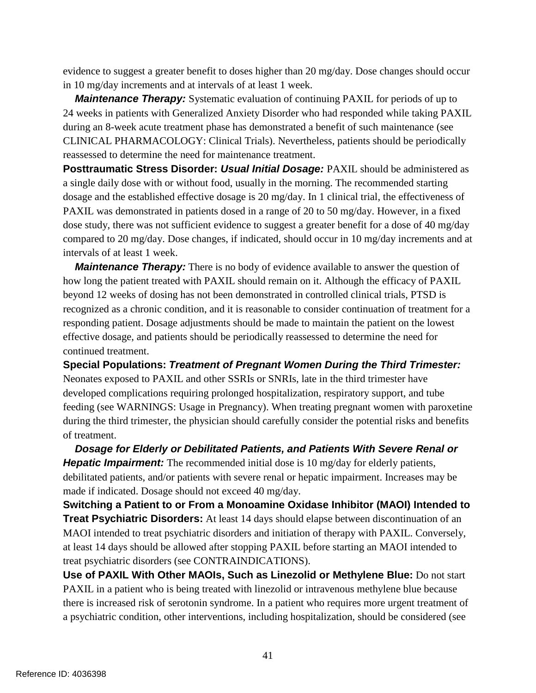evidence to suggest a greater benefit to doses higher than 20 mg/day. Dose changes should occur in 10 mg/day increments and at intervals of at least 1 week.

*Maintenance Therapy:* Systematic evaluation of continuing PAXIL for periods of up to 24 weeks in patients with Generalized Anxiety Disorder who had responded while taking PAXIL during an 8-week acute treatment phase has demonstrated a benefit of such maintenance (see CLINICAL PHARMACOLOGY: Clinical Trials). Nevertheless, patients should be periodically reassessed to determine the need for maintenance treatment.

 compared to 20 mg/day. Dose changes, if indicated, should occur in 10 mg/day increments and at **Posttraumatic Stress Disorder:** *Usual Initial Dosage:* PAXIL should be administered as a single daily dose with or without food, usually in the morning. The recommended starting dosage and the established effective dosage is 20 mg/day. In 1 clinical trial, the effectiveness of PAXIL was demonstrated in patients dosed in a range of 20 to 50 mg/day. However, in a fixed dose study, there was not sufficient evidence to suggest a greater benefit for a dose of 40 mg/day intervals of at least 1 week.

 recognized as a chronic condition, and it is reasonable to consider continuation of treatment for a *Maintenance Therapy:* There is no body of evidence available to answer the question of how long the patient treated with PAXIL should remain on it. Although the efficacy of PAXIL beyond 12 weeks of dosing has not been demonstrated in controlled clinical trials, PTSD is responding patient. Dosage adjustments should be made to maintain the patient on the lowest effective dosage, and patients should be periodically reassessed to determine the need for continued treatment.

**Special Populations:** *Treatment of Pregnant Women During the Third Trimester:*  Neonates exposed to PAXIL and other SSRIs or SNRIs, late in the third trimester have developed complications requiring prolonged hospitalization, respiratory support, and tube feeding (see WARNINGS: Usage in Pregnancy). When treating pregnant women with paroxetine during the third trimester, the physician should carefully consider the potential risks and benefits of treatment.

 *Dosage for Elderly or Debilitated Patients, and Patients With Severe Renal or*  made if indicated. Dosage should not exceed 40 mg/day. *Hepatic Impairment:* The recommended initial dose is 10 mg/day for elderly patients, debilitated patients, and/or patients with severe renal or hepatic impairment. Increases may be

 **Switching a Patient to or From a Monoamine Oxidase Inhibitor (MAOI) Intended to Treat Psychiatric Disorders:** At least 14 days should elapse between discontinuation of an MAOI intended to treat psychiatric disorders and initiation of therapy with PAXIL. Conversely, at least 14 days should be allowed after stopping PAXIL before starting an MAOI intended to treat psychiatric disorders (see CONTRAINDICATIONS).

 **Use of PAXIL With Other MAOIs, Such as Linezolid or Methylene Blue:** Do not start PAXIL in a patient who is being treated with linezolid or intravenous methylene blue because there is increased risk of serotonin syndrome. In a patient who requires more urgent treatment of a psychiatric condition, other interventions, including hospitalization, should be considered (see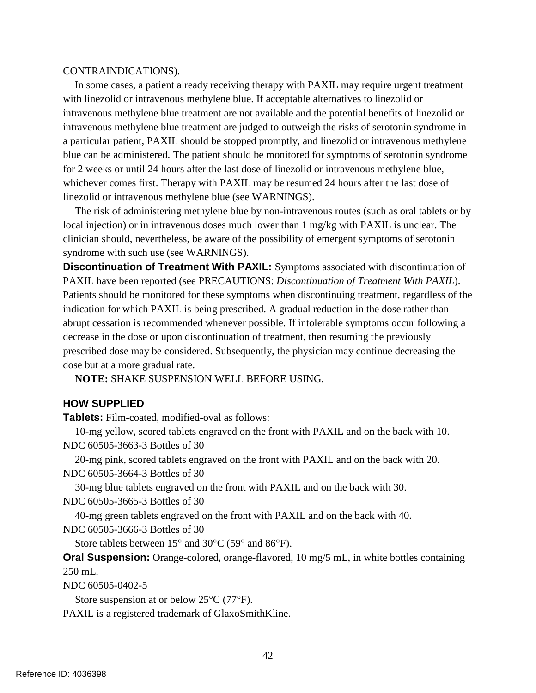#### CONTRAINDICATIONS).

 In some cases, a patient already receiving therapy with PAXIL may require urgent treatment with linezolid or intravenous methylene blue. If acceptable alternatives to linezolid or a particular patient, PAXIL should be stopped promptly, and linezolid or intravenous methylene for 2 weeks or until 24 hours after the last dose of linezolid or intravenous methylene blue, linezolid or intravenous methylene blue (see WARNINGS). intravenous methylene blue treatment are not available and the potential benefits of linezolid or intravenous methylene blue treatment are judged to outweigh the risks of serotonin syndrome in blue can be administered. The patient should be monitored for symptoms of serotonin syndrome whichever comes first. Therapy with PAXIL may be resumed 24 hours after the last dose of

The risk of administering methylene blue by non-intravenous routes (such as oral tablets or by local injection) or in intravenous doses much lower than 1 mg/kg with PAXIL is unclear. The clinician should, nevertheless, be aware of the possibility of emergent symptoms of serotonin syndrome with such use (see WARNINGS).

**Discontinuation of Treatment With PAXIL:** Symptoms associated with discontinuation of PAXIL have been reported (see PRECAUTIONS: *Discontinuation of Treatment With PAXIL*). Patients should be monitored for these symptoms when discontinuing treatment, regardless of the indication for which PAXIL is being prescribed. A gradual reduction in the dose rather than abrupt cessation is recommended whenever possible. If intolerable symptoms occur following a decrease in the dose or upon discontinuation of treatment, then resuming the previously prescribed dose may be considered. Subsequently, the physician may continue decreasing the dose but at a more gradual rate.

**NOTE:** SHAKE SUSPENSION WELL BEFORE USING.

# **HOW SUPPLIED**

**Tablets:** Film-coated, modified-oval as follows:

10-mg yellow, scored tablets engraved on the front with PAXIL and on the back with 10. NDC 60505-3663-3 Bottles of 30

20-mg pink, scored tablets engraved on the front with PAXIL and on the back with 20. NDC 60505-3664-3 Bottles of 30

30-mg blue tablets engraved on the front with PAXIL and on the back with 30. NDC 60505-3665-3 Bottles of 30

40-mg green tablets engraved on the front with PAXIL and on the back with 40. NDC 60505-3666-3 Bottles of 30

Store tablets between  $15^{\circ}$  and  $30^{\circ}$ C (59° and  $86^{\circ}$ F).

**Oral Suspension:** Orange-colored, orange-flavored, 10 mg/5 mL, in white bottles containing  $250 \text{ mL}$ .

NDC 60505-0402-5

Store suspension at or below 25°C (77°F).

PAXIL is a registered trademark of GlaxoSmithKline.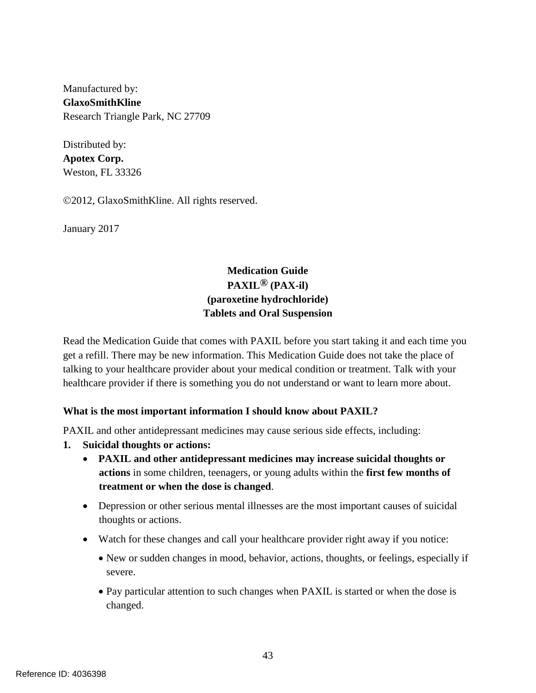Manufactured by: **GlaxoSmithKline**  Research Triangle Park, NC 27709

Distributed by: **Apotex Corp.**  Weston, FL 33326

2012, GlaxoSmithKline. All rights reserved.

January 2017

# **Medication Guide PAXIL® (PAX-il) (paroxetine hydrochloride) Tablets and Oral Suspension**

 Read the Medication Guide that comes with PAXIL before you start taking it and each time you talking to your healthcare provider about your medical condition or treatment. Talk with your get a refill. There may be new information. This Medication Guide does not take the place of healthcare provider if there is something you do not understand or want to learn more about.

# **What is the most important information I should know about PAXIL?**

PAXIL and other antidepressant medicines may cause serious side effects, including:

- **1. Suicidal thoughts or actions:** 
	- **treatment or when the dose is changed**. • **PAXIL and other antidepressant medicines may increase suicidal thoughts or actions** in some children, teenagers, or young adults within the **first few months of**
	- • Depression or other serious mental illnesses are the most important causes of suicidal thoughts or actions.
	- Watch for these changes and call your healthcare provider right away if you notice:
		- New or sudden changes in mood, behavior, actions, thoughts, or feelings, especially if severe.
		- Pay particular attention to such changes when PAXIL is started or when the dose is changed.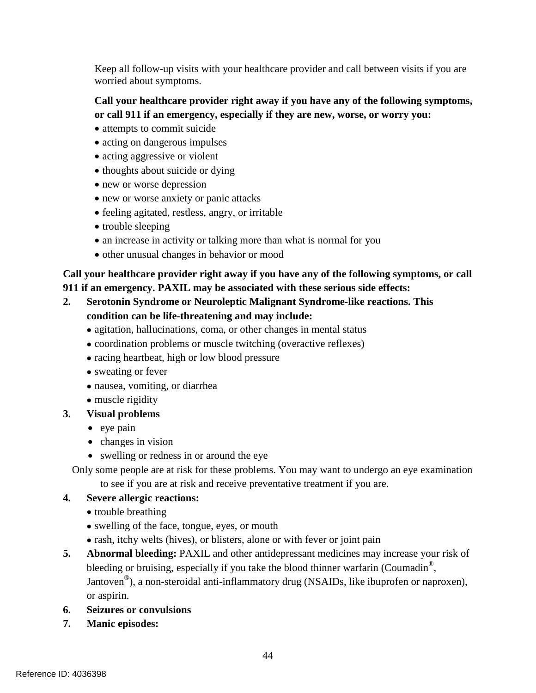Keep all follow-up visits with your healthcare provider and call between visits if you are worried about symptoms.

# **Call your healthcare provider right away if you have any of the following symptoms, or call 911 if an emergency, especially if they are new, worse, or worry you:**

- attempts to commit suicide
- acting on dangerous impulses
- acting aggressive or violent
- thoughts about suicide or dying
- new or worse depression
- new or worse anxiety or panic attacks
- feeling agitated, restless, angry, or irritable
- trouble sleeping
- an increase in activity or talking more than what is normal for you
- other unusual changes in behavior or mood

# **Call your healthcare provider right away if you have any of the following symptoms, or call 911 if an emergency. PAXIL may be associated with these serious side effects:**

- **2. Serotonin Syndrome or Neuroleptic Malignant Syndrome-like reactions. This condition can be life-threatening and may include:** 
	- agitation, hallucinations, coma, or other changes in mental status
	- coordination problems or muscle twitching (overactive reflexes)
	- racing heartbeat, high or low blood pressure
	- sweating or fever
	- nausea, vomiting, or diarrhea
	- muscle rigidity

# **3. Visual problems**

- eye pain
- changes in vision
- swelling or redness in or around the eye

Only some people are at risk for these problems. You may want to undergo an eye examination to see if you are at risk and receive preventative treatment if you are.

# **4. Severe allergic reactions:**

- trouble breathing
- swelling of the face, tongue, eyes, or mouth
- rash, itchy welts (hives), or blisters, alone or with fever or joint pain
- **5. Abnormal bleeding: PAXIL and other antidepressant medicines may increase your risk of**  or aspirin. bleeding or bruising, especially if you take the blood thinner warfarin (Coumadin®, Jantoven®), a non-steroidal anti-inflammatory drug (NSAIDs, like ibuprofen or naproxen),
- **6. Seizures or convulsions**
- **7. Manic episodes:**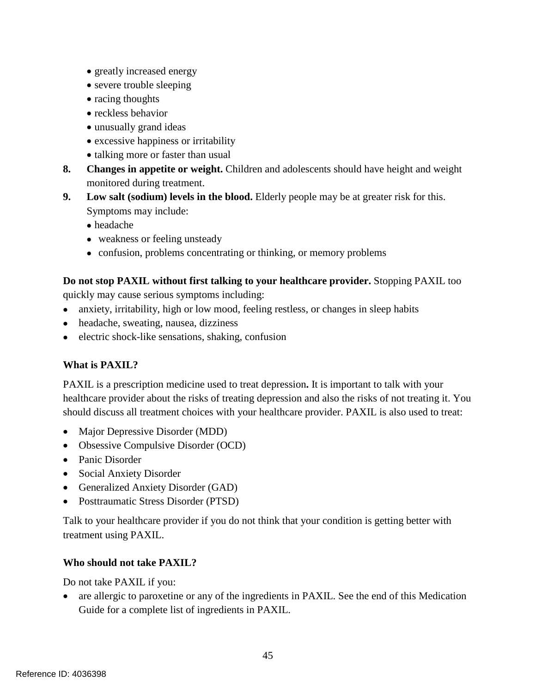- greatly increased energy
- severe trouble sleeping
- racing thoughts
- reckless behavior
- unusually grand ideas
- excessive happiness or irritability
- talking more or faster than usual
- monitored during treatment. **8. Changes in appetite or weight.** Children and adolescents should have height and weight
- Symptoms may include: **9. Low salt (sodium) levels in the blood.** Elderly people may be at greater risk for this.
	- headache
	- weakness or feeling unsteady
	- confusion, problems concentrating or thinking, or memory problems

# **Do not stop PAXIL without first talking to your healthcare provider.** Stopping PAXIL too

quickly may cause serious symptoms including:

- anxiety, irritability, high or low mood, feeling restless, or changes in sleep habits
- headache, sweating, nausea, dizziness
- electric shock-like sensations, shaking, confusion

# **What is PAXIL?**

 PAXIL is a prescription medicine used to treat depression**.** It is important to talk with your  should discuss all treatment choices with your healthcare provider. PAXIL is also used to treat: healthcare provider about the risks of treating depression and also the risks of not treating it. You

- Major Depressive Disorder (MDD)
- Obsessive Compulsive Disorder (OCD)
- Panic Disorder
- Social Anxiety Disorder
- Generalized Anxiety Disorder (GAD)
- Posttraumatic Stress Disorder (PTSD)

 Talk to your healthcare provider if you do not think that your condition is getting better with treatment using PAXIL.

# **Who should not take PAXIL?**

Do not take PAXIL if you:

• are allergic to paroxetine or any of the ingredients in PAXIL. See the end of this Medication Guide for a complete list of ingredients in PAXIL.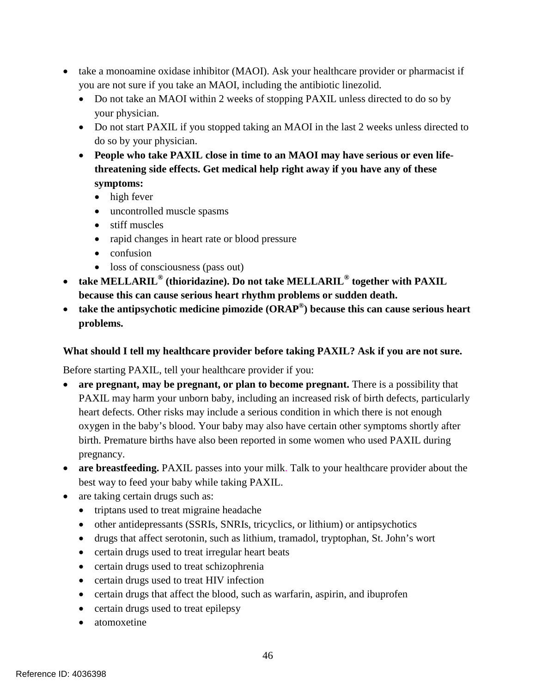- take a monoamine oxidase inhibitor (MAOI). Ask your healthcare provider or pharmacist if you are not sure if you take an MAOI, including the antibiotic linezolid.
	- Do not take an MAOI within 2 weeks of stopping PAXIL unless directed to do so by your physician.
	- Do not start PAXIL if you stopped taking an MAOI in the last 2 weeks unless directed to do so by your physician.
	- **symptoms:** • People who take PAXIL close in time to an MAOI may have serious or even life**threatening side effects. Get medical help right away if you have any of these** 
		- high fever
		- uncontrolled muscle spasms
		- stiff muscles
		- rapid changes in heart rate or blood pressure
		- confusion
		- loss of consciousness (pass out)
- take MELLARIL<sup>®</sup> (thioridazine). Do not take MELLARIL<sup>®</sup> together with PAXIL **because this can cause serious heart rhythm problems or sudden death.**
- problems. • take the antipsychotic medicine pimozide (ORAP<sup>®</sup>) because this can cause serious heart

# What should I tell my healthcare provider before taking PAXIL? Ask if you are not sure.

Before starting PAXIL, tell your healthcare provider if you:

- are pregnant, may be pregnant, or plan to become pregnant. There is a possibility that PAXIL may harm your unborn baby, including an increased risk of birth defects, particularly heart defects. Other risks may include a serious condition in which there is not enough oxygen in the baby's blood. Your baby may also have certain other symptoms shortly after birth. Premature births have also been reported in some women who used PAXIL during pregnancy.
- **are breastfeeding.** PAXIL passes into your milk. Talk to your healthcare provider about the best way to feed your baby while taking PAXIL.
- are taking certain drugs such as:
	- triptans used to treat migraine headache
	- other antidepressants (SSRIs, SNRIs, tricyclics, or lithium) or antipsychotics
	- drugs that affect serotonin, such as lithium, tramadol, tryptophan, St. John's wort
	- certain drugs used to treat irregular heart beats
	- certain drugs used to treat schizophrenia
	- certain drugs used to treat HIV infection
	- certain drugs that affect the blood, such as warfarin, aspirin, and ibuprofen
	- certain drugs used to treat epilepsy
	- atomoxetine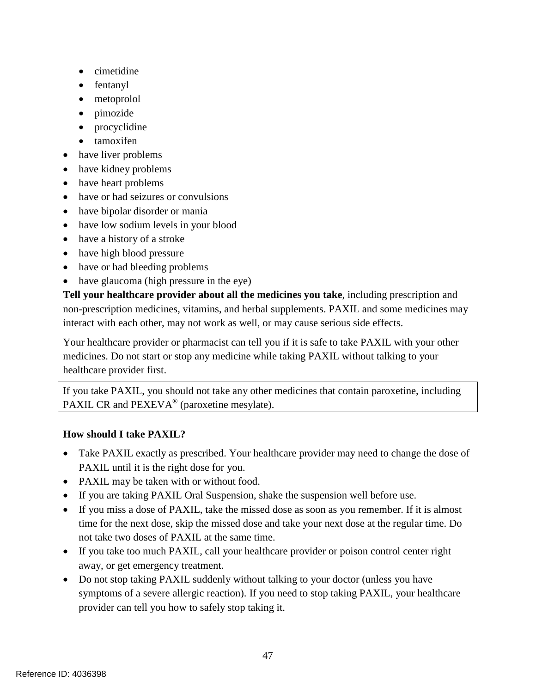- cimetidine
- fentanyl
- metoprolol
- pimozide
- procyclidine
- tamoxifen
- have liver problems
- have kidney problems
- have heart problems
- have or had seizures or convulsions
- have bipolar disorder or mania
- have low sodium levels in your blood
- have a history of a stroke
- have high blood pressure
- have or had bleeding problems
- have glaucoma (high pressure in the eye)

 interact with each other, may not work as well, or may cause serious side effects. **Tell your healthcare provider about all the medicines you take**, including prescription and non-prescription medicines, vitamins, and herbal supplements. PAXIL and some medicines may

 Your healthcare provider or pharmacist can tell you if it is safe to take PAXIL with your other medicines. Do not start or stop any medicine while taking PAXIL without talking to your healthcare provider first.

If you take PAXIL, you should not take any other medicines that contain paroxetine, including PAXIL CR and PEXEVA<sup>®</sup> (paroxetine mesylate).

# **How should I take PAXIL?**

- PAXIL until it is the right dose for you. • Take PAXIL exactly as prescribed. Your healthcare provider may need to change the dose of
- PAXIL may be taken with or without food.
- If you are taking PAXIL Oral Suspension, shake the suspension well before use.
- If you miss a dose of PAXIL, take the missed dose as soon as you remember. If it is almost time for the next dose, skip the missed dose and take your next dose at the regular time. Do not take two doses of PAXIL at the same time.
- If you take too much PAXIL, call your healthcare provider or poison control center right away, or get emergency treatment.
- Do not stop taking PAXIL suddenly without talking to your doctor (unless you have symptoms of a severe allergic reaction). If you need to stop taking PAXIL, your healthcare provider can tell you how to safely stop taking it.<br>
47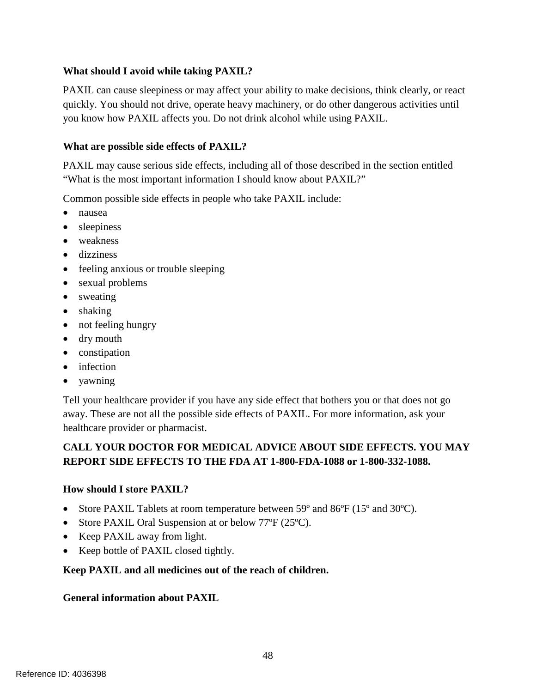# **What should I avoid while taking PAXIL?**

 PAXIL can cause sleepiness or may affect your ability to make decisions, think clearly, or react quickly. You should not drive, operate heavy machinery, or do other dangerous activities until you know how PAXIL affects you. Do not drink alcohol while using PAXIL.

# **What are possible side effects of PAXIL?**

"What is the most important information I should know about PAXIL?" PAXIL may cause serious side effects, including all of those described in the section entitled

Common possible side effects in people who take PAXIL include:

- nausea
- sleepiness
- weakness
- dizziness
- feeling anxious or trouble sleeping
- sexual problems
- sweating
- shaking
- not feeling hungry
- dry mouth
- constipation
- infection
- yawning

 Tell your healthcare provider if you have any side effect that bothers you or that does not go away. These are not all the possible side effects of PAXIL. For more information, ask your healthcare provider or pharmacist.

# **CALL YOUR DOCTOR FOR MEDICAL ADVICE ABOUT SIDE EFFECTS. YOU MAY REPORT SIDE EFFECTS TO THE FDA AT 1-800-FDA-1088 or 1-800-332-1088.**

# **How should I store PAXIL?**

- Store PAXIL Tablets at room temperature between 59° and 86°F (15° and 30°C).
- Store PAXIL Oral Suspension at or below 77°F (25°C).
- Keep PAXIL away from light.
- Keep bottle of PAXIL closed tightly.

# **Keep PAXIL and all medicines out of the reach of children.**

# **General information about PAXIL**